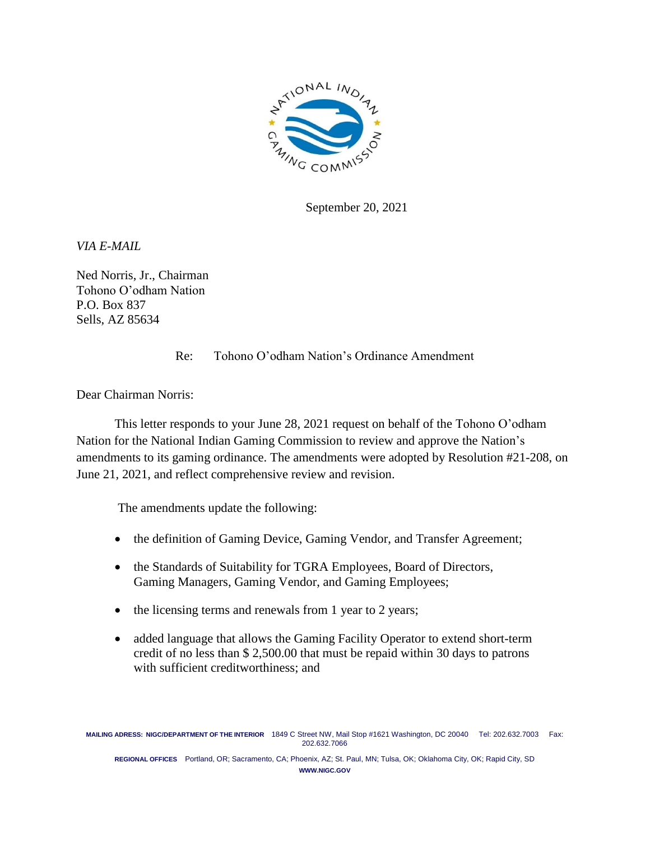

September 20, 2021

*VIA E-MAIL*

Ned Norris, Jr., Chairman Tohono O'odham Nation P.O. Box 837 Sells, AZ 85634

## Re: Tohono O'odham Nation's Ordinance Amendment

Dear Chairman Norris:

This letter responds to your June 28, 2021 request on behalf of the Tohono O'odham Nation for the National Indian Gaming Commission to review and approve the Nation's amendments to its gaming ordinance. The amendments were adopted by Resolution #21-208, on June 21, 2021, and reflect comprehensive review and revision.

The amendments update the following:

- the definition of Gaming Device, Gaming Vendor, and Transfer Agreement;
- the Standards of Suitability for TGRA Employees, Board of Directors, Gaming Managers, Gaming Vendor, and Gaming Employees;
- the licensing terms and renewals from 1 year to 2 years;
- added language that allows the Gaming Facility Operator to extend short-term credit of no less than \$ 2,500.00 that must be repaid within 30 days to patrons with sufficient creditworthiness; and

**REGIONAL OFFICES** Portland, OR; Sacramento, CA; Phoenix, AZ; St. Paul, MN; Tulsa, OK; Oklahoma City, OK; Rapid City, SD **WWW.NIGC.GOV**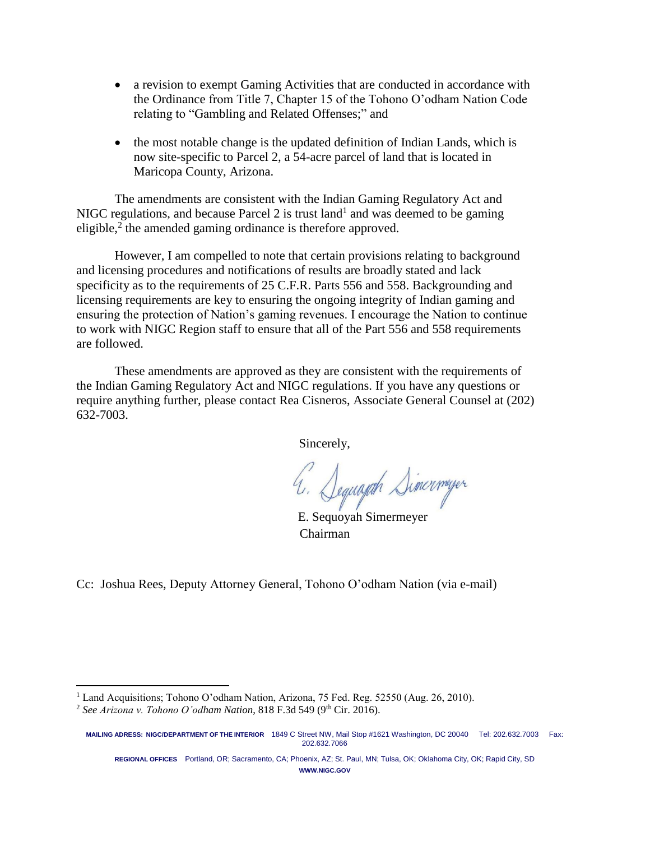- a revision to exempt Gaming Activities that are conducted in accordance with the Ordinance from Title 7, Chapter 15 of the Tohono O'odham Nation Code relating to "Gambling and Related Offenses;" and
- the most notable change is the updated definition of Indian Lands, which is now site-specific to Parcel 2, a 54-acre parcel of land that is located in Maricopa County, Arizona.

The amendments are consistent with the Indian Gaming Regulatory Act and NIGC regulations, and because Parcel  $2$  is trust land<sup>1</sup> and was deemed to be gaming eligible, $2$  the amended gaming ordinance is therefore approved.

However, I am compelled to note that certain provisions relating to background and licensing procedures and notifications of results are broadly stated and lack specificity as to the requirements of 25 C.F.R. Parts 556 and 558. Backgrounding and licensing requirements are key to ensuring the ongoing integrity of Indian gaming and ensuring the protection of Nation's gaming revenues. I encourage the Nation to continue to work with NIGC Region staff to ensure that all of the Part 556 and 558 requirements are followed.

These amendments are approved as they are consistent with the requirements of the Indian Gaming Regulatory Act and NIGC regulations. If you have any questions or require anything further, please contact Rea Cisneros, Associate General Counsel at (202) 632-7003.

Sincerely,

4. Seguajah Simerneyer

E. Sequoyah Simermeyer Chairman

Cc: Joshua Rees, Deputy Attorney General, Tohono O'odham Nation (via e-mail)

 $\overline{\phantom{a}}$ 

**REGIONAL OFFICES** Portland, OR; Sacramento, CA; Phoenix, AZ; St. Paul, MN; Tulsa, OK; Oklahoma City, OK; Rapid City, SD **WWW.NIGC.GOV**

<sup>1</sup> Land Acquisitions; Tohono O'odham Nation, Arizona, 75 Fed. Reg. 52550 (Aug. 26, 2010).

<sup>2</sup> *See Arizona v. Tohono O'odham Nation*, 818 F.3d 549 (9th Cir. 2016).

**MAILING ADRESS: NIGC/DEPARTMENT OF THE INTERIOR** 1849 C Street NW, Mail Stop #1621 Washington, DC 20040 Tel: 202.632.7003 Fax: 202.632.7066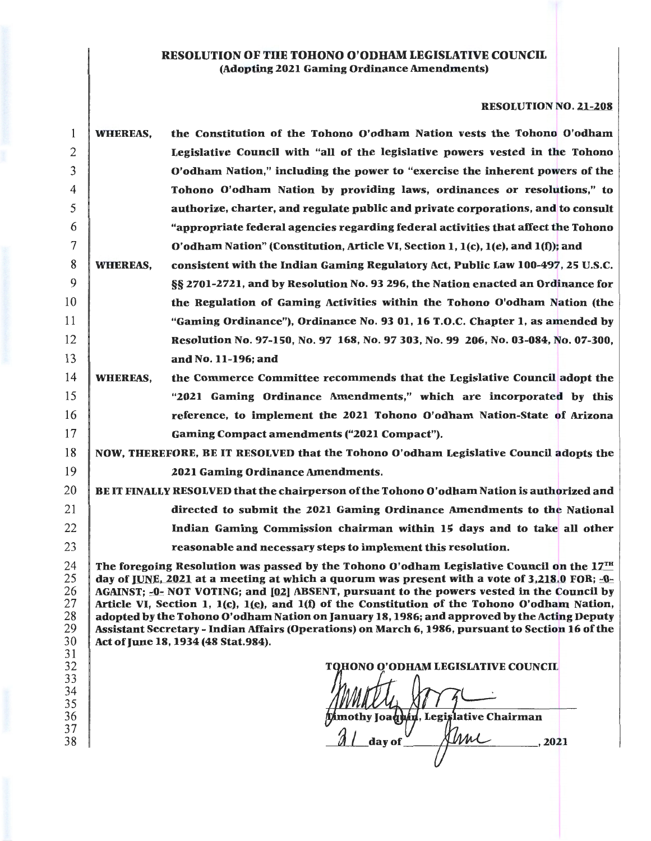### RESOLUTION OF THE TOHONO O'ODHAM LEGISLATIVE COUNCIL (Adopting 2021 Gaming Ordinance Amendments)

# RESOLUTION NO. 21-208

| 1                                            | <b>WHEREAS,</b> | the Constitution of the Tohono O'odham Nation vests the Tohono O'odham                                                                                                                                                                                                                                                                                                                                                                                                                                                                                                                                                                               |
|----------------------------------------------|-----------------|------------------------------------------------------------------------------------------------------------------------------------------------------------------------------------------------------------------------------------------------------------------------------------------------------------------------------------------------------------------------------------------------------------------------------------------------------------------------------------------------------------------------------------------------------------------------------------------------------------------------------------------------------|
| 2                                            |                 | Legislative Council with "all of the legislative powers vested in the Tohono                                                                                                                                                                                                                                                                                                                                                                                                                                                                                                                                                                         |
| 3                                            |                 | O'odham Nation," including the power to "exercise the inherent powers of the                                                                                                                                                                                                                                                                                                                                                                                                                                                                                                                                                                         |
| 4                                            |                 | Tohono O'odham Nation by providing laws, ordinances or resolutions," to                                                                                                                                                                                                                                                                                                                                                                                                                                                                                                                                                                              |
| 5                                            |                 | authorize, charter, and regulate public and private corporations, and to consult                                                                                                                                                                                                                                                                                                                                                                                                                                                                                                                                                                     |
| 6                                            |                 | "appropriate federal agencies regarding federal activities that affect the Tohono                                                                                                                                                                                                                                                                                                                                                                                                                                                                                                                                                                    |
| 7                                            |                 | O'odham Nation" (Constitution, Article VI, Section 1, 1(c), 1(e), and 1(f)); and                                                                                                                                                                                                                                                                                                                                                                                                                                                                                                                                                                     |
| 8                                            | <b>WHEREAS,</b> | consistent with the Indian Gaming Regulatory Act, Public Law 100-497, 25 U.S.C.                                                                                                                                                                                                                                                                                                                                                                                                                                                                                                                                                                      |
| 9                                            |                 | §§ 2701-2721, and by Resolution No. 93 296, the Nation enacted an Ordinance for                                                                                                                                                                                                                                                                                                                                                                                                                                                                                                                                                                      |
| 10                                           |                 | the Regulation of Gaming Activities within the Tohono O'odham Nation (the                                                                                                                                                                                                                                                                                                                                                                                                                                                                                                                                                                            |
| 11                                           |                 | "Gaming Ordinance"), Ordinance No. 93 01, 16 T.O.C. Chapter 1, as amended by                                                                                                                                                                                                                                                                                                                                                                                                                                                                                                                                                                         |
| 12                                           |                 | Resolution No. 97-150, No. 97 168, No. 97 303, No. 99 206, No. 03-084, No. 07-300,                                                                                                                                                                                                                                                                                                                                                                                                                                                                                                                                                                   |
| 13                                           |                 | and No. 11-196; and                                                                                                                                                                                                                                                                                                                                                                                                                                                                                                                                                                                                                                  |
| 14                                           | <b>WHEREAS,</b> | the Commerce Committee recommends that the Legislative Council adopt the                                                                                                                                                                                                                                                                                                                                                                                                                                                                                                                                                                             |
| 15                                           |                 | "2021 Gaming Ordinance Amendments," which are incorporated by this                                                                                                                                                                                                                                                                                                                                                                                                                                                                                                                                                                                   |
| 16                                           |                 | reference, to implement the 2021 Tohono O'odham Nation-State of Arizona                                                                                                                                                                                                                                                                                                                                                                                                                                                                                                                                                                              |
| 17                                           |                 | Gaming Compact amendments ("2021 Compact").                                                                                                                                                                                                                                                                                                                                                                                                                                                                                                                                                                                                          |
| 18                                           |                 | NOW, THEREFORE, BE IT RESOLVED that the Tohono O'odham Legislative Council adopts the                                                                                                                                                                                                                                                                                                                                                                                                                                                                                                                                                                |
| 19                                           |                 | 2021 Gaming Ordinance Amendments.                                                                                                                                                                                                                                                                                                                                                                                                                                                                                                                                                                                                                    |
| 20                                           |                 | BE IT FINALLY RESOLVED that the chairperson of the Tohono O'odham Nation is authorized and                                                                                                                                                                                                                                                                                                                                                                                                                                                                                                                                                           |
| 21                                           |                 | directed to submit the 2021 Gaming Ordinance Amendments to the National                                                                                                                                                                                                                                                                                                                                                                                                                                                                                                                                                                              |
| 22                                           |                 | Indian Gaming Commission chairman within 15 days and to take all other                                                                                                                                                                                                                                                                                                                                                                                                                                                                                                                                                                               |
| 23                                           |                 | reasonable and necessary steps to implement this resolution.                                                                                                                                                                                                                                                                                                                                                                                                                                                                                                                                                                                         |
| 24<br>25<br>26<br>27<br>28<br>29<br>30<br>31 |                 | The foregoing Resolution was passed by the Tohono O'odham Legislative Council on the $17TH$<br>day of JUNE, 2021 at a meeting at which a quorum was present with a vote of 3,218.0 FOR; $\square$ -<br>AGAINST; -0- NOT VOTING; and [02] ABSENT, pursuant to the powers vested in the Council by<br>Article VI, Section 1, $1(c)$ , $1(e)$ , and $1(f)$ of the Constitution of the Tohono O'odham Nation,<br>adopted by the Tohono O'odham Nation on January 18, 1986; and approved by the Acting Deputy<br>Assistant Secretary - Indian Affairs (Operations) on March 6, 1986, pursuant to Section 16 of the<br>Act of June 18, 1934 (48 Stat.984). |
| 32<br>33<br>34<br>35<br>36<br>37<br>38       |                 | <b>TOHONO O'ODHAM LEGISLATIVE COUNCIL</b><br>mothy Joaq <b>h</b> in, Legislative Chairman<br>day of<br>, 2021                                                                                                                                                                                                                                                                                                                                                                                                                                                                                                                                        |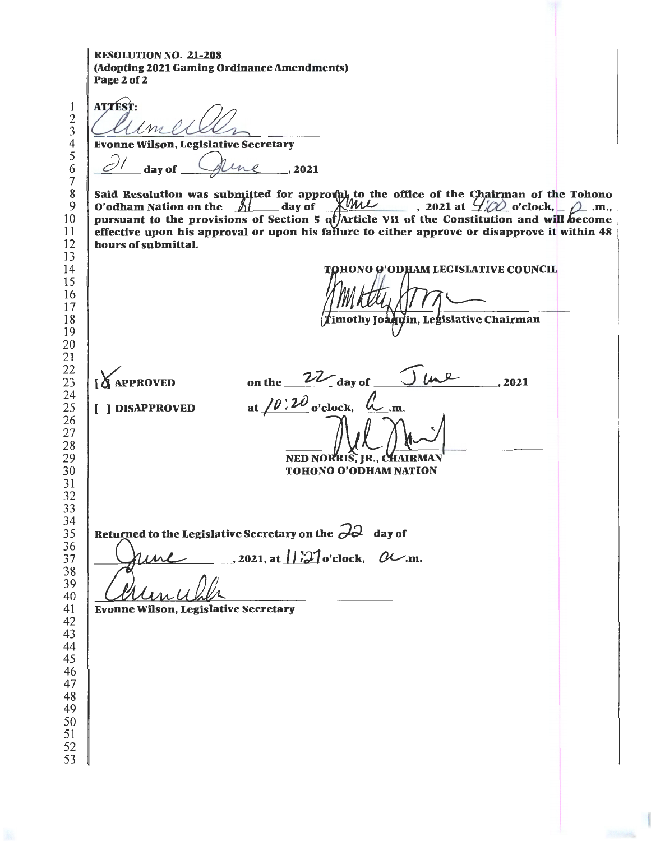RESOLUTION NO. 21-208 (Adopting 2021 Gaming Ordinance Amendments) Page 2 of 2

> 

**ATTEST:**  $\ell m$ Evonne Wilson, Legislative Secretary<br>all day of Alme<sub>n, 2021</sub> Said Resolution was submitted for approval to the office of the Chairman of the Tohono O'odham Nation on the  $\frac{2}{1}$  day of  $\frac{1}{1}$  and  $\frac{1}{2}$ , 2021 at  $\frac{1}{2}$  o'clock,  $\frac{1}{2}$ .m., pursuant to the provisions of Section 5 of/Article VII of the Constitution and will become effective upon his approval or upon his failure to either approve or disapprove it within 48 hours of submittal. TOHONO O'ODHAM LEGISLATIVE COUNCIL imothy Joaquin, Legislative Chairman  $\frac{1}{2}$   $\frac{1}{2}$   $\frac{1}{2}$   $\frac{1}{2}$   $\frac{1}{2}$   $\frac{1}{2}$   $\frac{1}{2}$   $\frac{1}{2}$   $\frac{1}{2}$   $\frac{1}{2}$   $\frac{1}{2}$   $\frac{1}{2}$   $\frac{1}{2}$   $\frac{1}{2}$   $\frac{1}{2}$   $\frac{1}{2}$   $\frac{1}{2}$   $\frac{1}{2}$   $\frac{1}{2}$   $\frac{1}{2}$   $\frac{1}{2}$   $\frac{1}{2}$  ,2021 [ ] DISAPPROVED at  $/0$   $/2$   $\omega$  o'clock,  $\alpha$ <sub>.</sub>m. ned norris. Ir., Chairman TOHONO O'ODHAM NATION eturned to the Legislative Secretary on the  $\frac{\partial \partial}{\partial u}$ , 2021, at  $\frac{1}{2}$  o'clock, Returned to the Legislative Secretary on the **<sub>c</sub>/c/** day of  $ML$ , 2021, at  $1/27$  o'clock,  $OL$ .m. Evonne Wilson, Legislative Secretary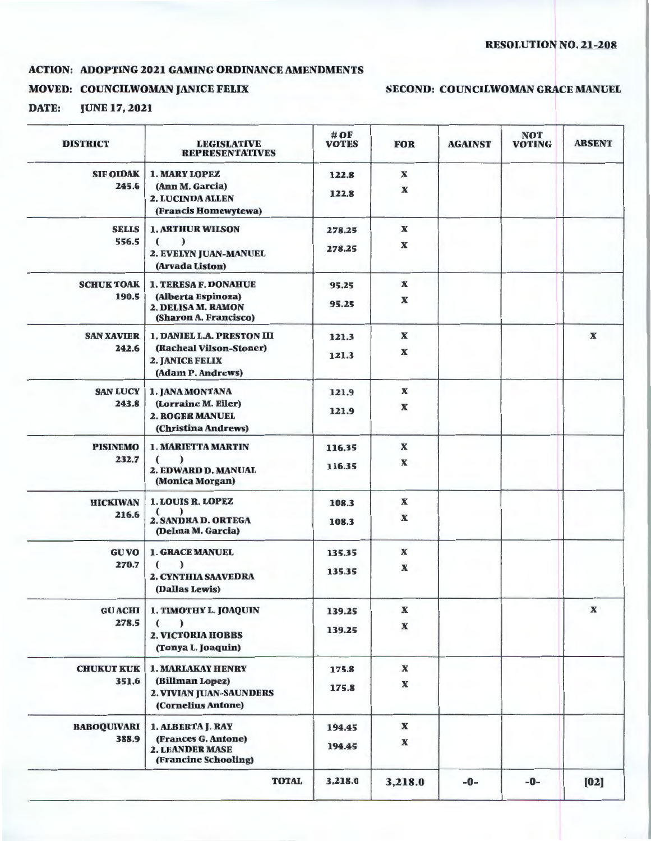#### ACTION: ADOPTING 2021 GAMING ORDINANCE AMENDMENTS

### MOVED: COUNCILWOMAN JANICE FELIX

## SECOND: COUNCILWOMAN GRACE MANUEL

DATE: JUNE 17, 2021

| <b>DISTRICT</b>    | <b>LEGISLATIVE</b><br><b>REPRESENTATIVES</b>                                   | $\#$ OF<br><b>VOTES</b> | <b>FOR</b>                | <b>AGAINST</b> | <b>NOT</b><br><b>VOTING</b> | <b>ABSENT</b> |
|--------------------|--------------------------------------------------------------------------------|-------------------------|---------------------------|----------------|-----------------------------|---------------|
| <b>SIF OIDAK</b>   | <b>1. MARY LOPEZ</b>                                                           | 122.8                   | $\mathbf{x}$              |                |                             |               |
| 245.6              | (Ann M. Garcia)<br>2. LUCINDA ALLEN<br>(Francis Homewytewa)                    | 122.8                   | $\boldsymbol{\mathrm{X}}$ |                |                             |               |
| <b>SELLS</b>       | <b>1. ARTHUR WILSON</b>                                                        | 278.25                  | $\mathbf x$               |                |                             |               |
| 556.5              | $\lambda$<br>$\epsilon$<br>2. EVELYN JUAN-MANUEL<br>(Arvada Liston)            | 278.25                  | $\boldsymbol{\mathrm{X}}$ |                |                             |               |
| <b>SCHUK TOAK</b>  | <b>1. TERESA F. DONAHUE</b>                                                    | 95.25                   | $\mathbf{x}$              |                |                             |               |
| 190.5              | (Alberta Espinoza)<br>2. DELISA M. RAMON<br>(Sharon A. Francisco)              | 95.25                   | $\mathbf x$               |                |                             |               |
| <b>SAN XAVIER</b>  | <b>1. DANIEL L.A. PRESTON III</b>                                              | 121.3                   | $\boldsymbol{\mathbf{X}}$ |                |                             | $\mathbf x$   |
| 242.6              | (Racheal Vilson-Stoner)<br>2. JANICE FELIX<br>(Adam P. Andrews)                | 121.3                   | $\boldsymbol{\mathbf{X}}$ |                |                             |               |
| <b>SAN LUCY</b>    | 1. JANA MONTANA                                                                | 121.9                   | $\boldsymbol{\mathbf{X}}$ |                |                             |               |
| 243.8              | (Lorraine M. Eiler)<br><b>2. ROGER MANUEL</b><br>(Christina Andrews)           | 121.9                   | $\boldsymbol{\mathbf{X}}$ |                |                             |               |
| <b>PISINEMO</b>    | <b>1. MARIETTA MARTIN</b>                                                      | 116.35                  | $\boldsymbol{\mathrm{x}}$ |                |                             |               |
| 232.7              | $\lambda$<br>$\epsilon$<br>2. EDWARD D. MANUAL<br>(Monica Morgan)              | 116.35                  | $\boldsymbol{\mathbf{X}}$ |                |                             |               |
| <b>HICKIWAN</b>    | <b>1. LOUIS R. LOPEZ</b>                                                       | 108.3                   | $\mathbf x$               |                |                             |               |
| 216.6              | 2. SANDRA D. ORTEGA<br>(Delma M. Garcia)                                       | 108.3                   | $\boldsymbol{\mathrm{X}}$ |                |                             |               |
| <b>GU VO</b>       | <b>1. GRACE MANUEL</b>                                                         | 135.35                  | $\boldsymbol{\mathbb{X}}$ |                |                             |               |
| 270.7              | $\epsilon$<br>$\lambda$<br><b>2. CYNTHIA SAAVEDRA</b><br>(Dallas Lewis)        | 135.35                  | $\mathbf x$               |                |                             |               |
| <b>GU ACHI</b>     | 1. TIMOTHY L. JOAQUIN                                                          | 139.25                  | $\boldsymbol{\mathbf{X}}$ |                |                             | $\mathbf x$   |
| 278.5              | $\overline{\mathbf{C}}$<br>I<br><b>2. VICTORIA HOBBS</b><br>(Tonya L. Joaquin) | 139.25                  | $\boldsymbol{\mathbf{X}}$ |                |                             |               |
| <b>CHUKUT KUK</b>  | <b>1. MARLAKAY HENRY</b>                                                       | 175.8                   | $\boldsymbol{\mathbf{X}}$ |                |                             |               |
| 351.6              | (Billman Lopez)<br>2. VIVIAN JUAN-SAUNDERS<br>(Cornelius Antone)               | 175.8                   | $\boldsymbol{\mathrm{X}}$ |                |                             |               |
| <b>BABOQUIVARI</b> | 1. ALBERTA J. RAY                                                              | 194.45                  | $\boldsymbol{\mathbf{X}}$ |                |                             |               |
| 388.9              | (Frances G. Antone)<br><b>2. LEANDER MASE</b><br>(Francine Schooling)          | 194.45                  | $\boldsymbol{\mathbf{X}}$ |                |                             |               |
|                    | <b>TOTAL</b>                                                                   | 3,218.0                 | 3,218.0                   | $-0-$          | $-0-$                       | [02]          |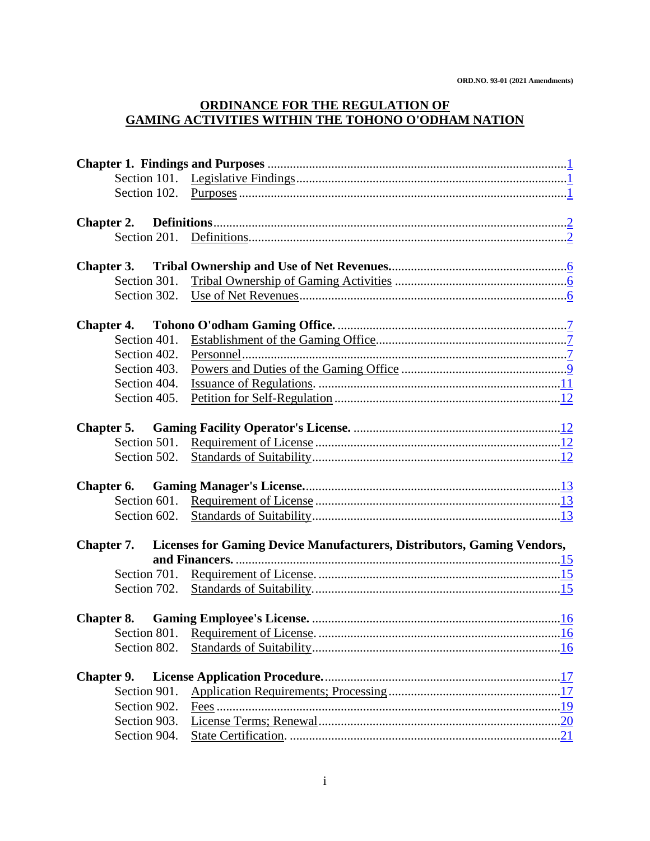### **ORDINANCE FOR THE REGULATION OF GAMING ACTIVITIES WITHIN THE TOHONO O'ODHAM NATION**

| <b>Chapter 2.</b>          |                                                                         |  |
|----------------------------|-------------------------------------------------------------------------|--|
|                            |                                                                         |  |
|                            |                                                                         |  |
| Chapter 3.<br>Section 301. |                                                                         |  |
|                            |                                                                         |  |
|                            |                                                                         |  |
|                            |                                                                         |  |
| Section 401.               |                                                                         |  |
| Section 402.               |                                                                         |  |
| Section 403.               |                                                                         |  |
| Section 404.               |                                                                         |  |
| Section 405.               |                                                                         |  |
|                            |                                                                         |  |
|                            |                                                                         |  |
| Section 501.               |                                                                         |  |
| Section 502.               |                                                                         |  |
|                            |                                                                         |  |
|                            |                                                                         |  |
|                            |                                                                         |  |
| Section 602.               |                                                                         |  |
| Chapter 7.                 | Licenses for Gaming Device Manufacturers, Distributors, Gaming Vendors, |  |
|                            |                                                                         |  |
|                            |                                                                         |  |
|                            |                                                                         |  |
|                            |                                                                         |  |
|                            |                                                                         |  |
|                            |                                                                         |  |
| Section 802.               |                                                                         |  |
|                            |                                                                         |  |
| <b>Chapter 9.</b>          |                                                                         |  |
| Section 901.               |                                                                         |  |
| Section 902.               |                                                                         |  |
| Section 903.               |                                                                         |  |
| Section 904.               |                                                                         |  |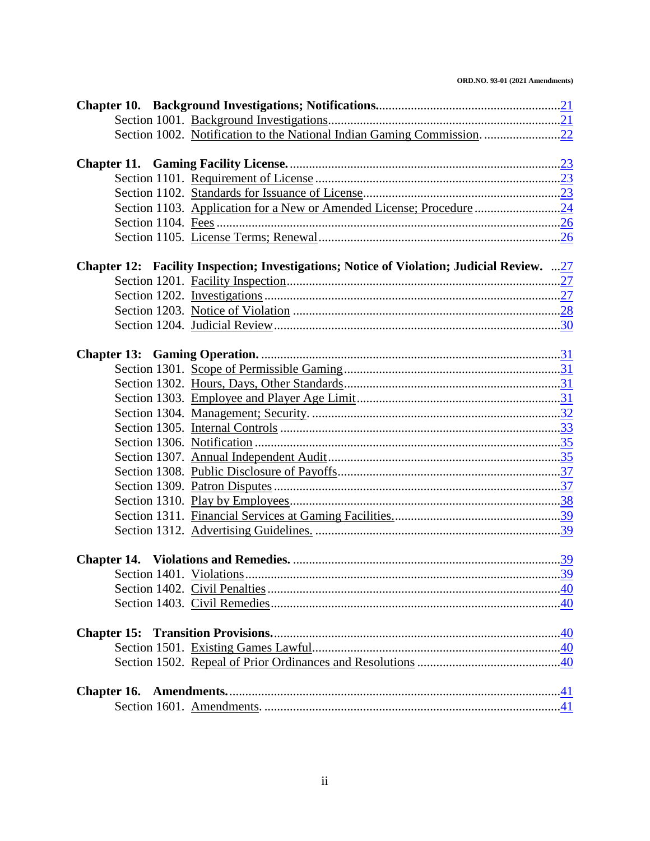#### **ORD.NO. 93-01 (2021 Amendments)**

|  | Chapter 12: Facility Inspection; Investigations; Notice of Violation; Judicial Review. 27 |                                |  |  |  |  |  |
|--|-------------------------------------------------------------------------------------------|--------------------------------|--|--|--|--|--|
|  |                                                                                           |                                |  |  |  |  |  |
|  |                                                                                           |                                |  |  |  |  |  |
|  |                                                                                           |                                |  |  |  |  |  |
|  |                                                                                           |                                |  |  |  |  |  |
|  |                                                                                           |                                |  |  |  |  |  |
|  |                                                                                           |                                |  |  |  |  |  |
|  |                                                                                           |                                |  |  |  |  |  |
|  |                                                                                           |                                |  |  |  |  |  |
|  |                                                                                           |                                |  |  |  |  |  |
|  |                                                                                           |                                |  |  |  |  |  |
|  |                                                                                           |                                |  |  |  |  |  |
|  |                                                                                           |                                |  |  |  |  |  |
|  |                                                                                           |                                |  |  |  |  |  |
|  |                                                                                           |                                |  |  |  |  |  |
|  |                                                                                           |                                |  |  |  |  |  |
|  |                                                                                           |                                |  |  |  |  |  |
|  |                                                                                           |                                |  |  |  |  |  |
|  |                                                                                           |                                |  |  |  |  |  |
|  |                                                                                           |                                |  |  |  |  |  |
|  |                                                                                           |                                |  |  |  |  |  |
|  |                                                                                           | $\ldots \ldots \underline{39}$ |  |  |  |  |  |
|  |                                                                                           |                                |  |  |  |  |  |
|  |                                                                                           |                                |  |  |  |  |  |
|  |                                                                                           |                                |  |  |  |  |  |
|  |                                                                                           |                                |  |  |  |  |  |
|  |                                                                                           |                                |  |  |  |  |  |
|  |                                                                                           |                                |  |  |  |  |  |
|  |                                                                                           |                                |  |  |  |  |  |
|  |                                                                                           |                                |  |  |  |  |  |
|  |                                                                                           |                                |  |  |  |  |  |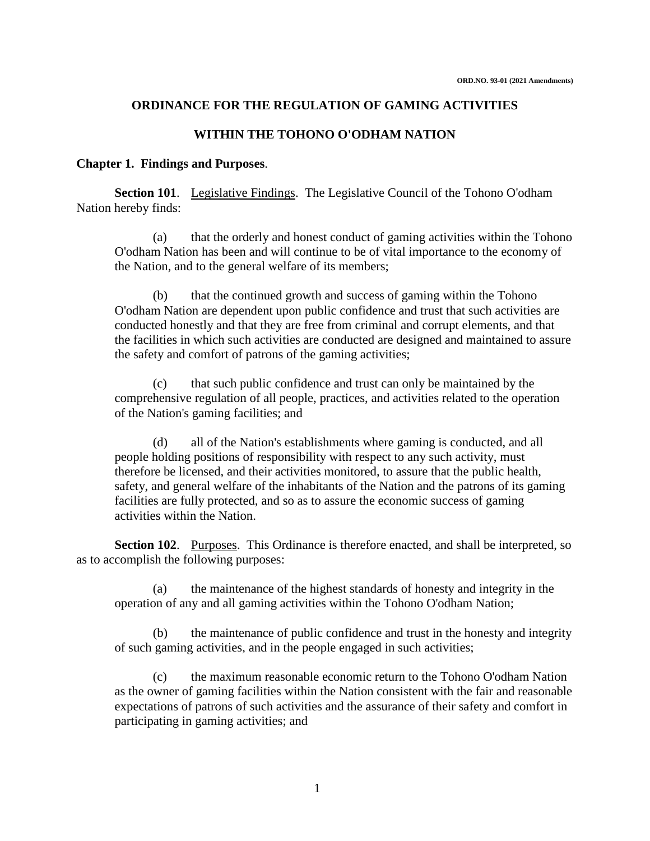#### **ORDINANCE FOR THE REGULATION OF GAMING ACTIVITIES**

### **WITHIN THE TOHONO O'ODHAM NATION**

#### **Chapter 1. Findings and Purposes**.

**Section 101**. Legislative Findings. The Legislative Council of the Tohono O'odham Nation hereby finds:

(a) that the orderly and honest conduct of gaming activities within the Tohono O'odham Nation has been and will continue to be of vital importance to the economy of the Nation, and to the general welfare of its members;

(b) that the continued growth and success of gaming within the Tohono O'odham Nation are dependent upon public confidence and trust that such activities are conducted honestly and that they are free from criminal and corrupt elements, and that the facilities in which such activities are conducted are designed and maintained to assure the safety and comfort of patrons of the gaming activities;

(c) that such public confidence and trust can only be maintained by the comprehensive regulation of all people, practices, and activities related to the operation of the Nation's gaming facilities; and

(d) all of the Nation's establishments where gaming is conducted, and all people holding positions of responsibility with respect to any such activity, must therefore be licensed, and their activities monitored, to assure that the public health, safety, and general welfare of the inhabitants of the Nation and the patrons of its gaming facilities are fully protected, and so as to assure the economic success of gaming activities within the Nation.

**Section 102.** Purposes. This Ordinance is therefore enacted, and shall be interpreted, so as to accomplish the following purposes:

(a) the maintenance of the highest standards of honesty and integrity in the operation of any and all gaming activities within the Tohono O'odham Nation;

(b) the maintenance of public confidence and trust in the honesty and integrity of such gaming activities, and in the people engaged in such activities;

(c) the maximum reasonable economic return to the Tohono O'odham Nation as the owner of gaming facilities within the Nation consistent with the fair and reasonable expectations of patrons of such activities and the assurance of their safety and comfort in participating in gaming activities; and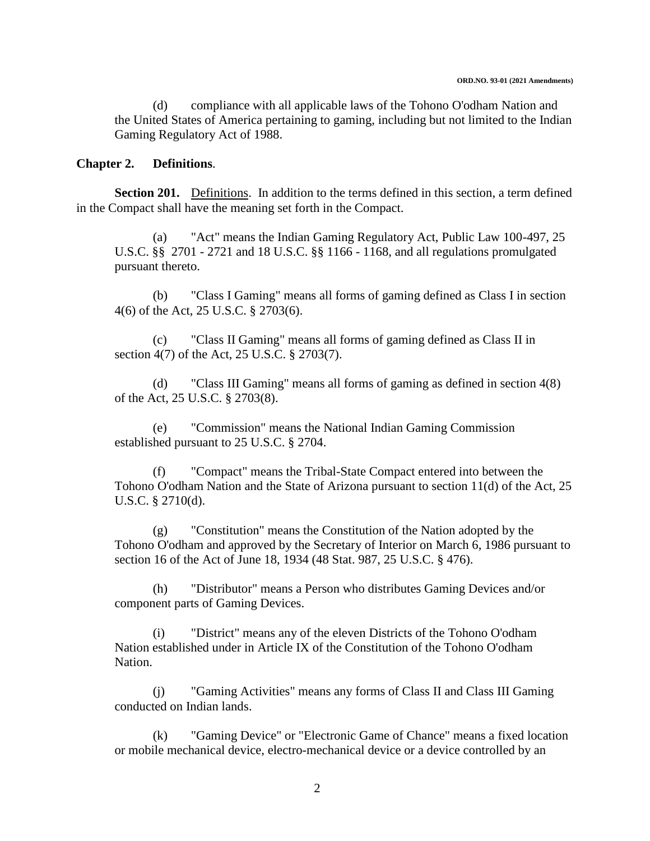(d) compliance with all applicable laws of the Tohono O'odham Nation and the United States of America pertaining to gaming, including but not limited to the Indian Gaming Regulatory Act of 1988.

### **Chapter 2. Definitions**.

**Section 201.** Definitions. In addition to the terms defined in this section, a term defined in the Compact shall have the meaning set forth in the Compact.

(a) "Act" means the Indian Gaming Regulatory Act, Public Law 100-497, 25 U.S.C. §§ 2701 - 2721 and 18 U.S.C. §§ 1166 - 1168, and all regulations promulgated pursuant thereto.

(b) "Class I Gaming" means all forms of gaming defined as Class I in section 4(6) of the Act, 25 U.S.C. § 2703(6).

(c) "Class II Gaming" means all forms of gaming defined as Class II in section 4(7) of the Act, 25 U.S.C. § 2703(7).

(d) "Class III Gaming" means all forms of gaming as defined in section 4(8) of the Act, 25 U.S.C. § 2703(8).

(e) "Commission" means the National Indian Gaming Commission established pursuant to 25 U.S.C. § 2704.

(f) "Compact" means the Tribal-State Compact entered into between the Tohono O'odham Nation and the State of Arizona pursuant to section 11(d) of the Act, 25 U.S.C. § 2710(d).

(g) "Constitution" means the Constitution of the Nation adopted by the Tohono O'odham and approved by the Secretary of Interior on March 6, 1986 pursuant to section 16 of the Act of June 18, 1934 (48 Stat. 987, 25 U.S.C. § 476).

(h) "Distributor" means a Person who distributes Gaming Devices and/or component parts of Gaming Devices.

(i) "District" means any of the eleven Districts of the Tohono O'odham Nation established under in Article IX of the Constitution of the Tohono O'odham Nation.

(j) "Gaming Activities" means any forms of Class II and Class III Gaming conducted on Indian lands.

(k) "Gaming Device" or "Electronic Game of Chance" means a fixed location or mobile mechanical device, electro-mechanical device or a device controlled by an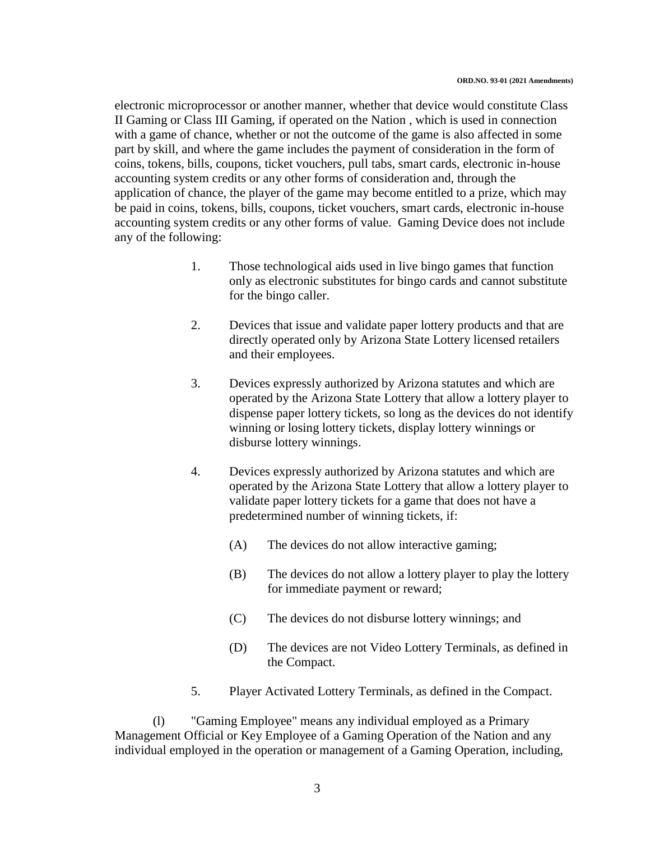electronic microprocessor or another manner, whether that device would constitute Class II Gaming or Class III Gaming, if operated on the Nation , which is used in connection with a game of chance, whether or not the outcome of the game is also affected in some part by skill, and where the game includes the payment of consideration in the form of coins, tokens, bills, coupons, ticket vouchers, pull tabs, smart cards, electronic in-house accounting system credits or any other forms of consideration and, through the application of chance, the player of the game may become entitled to a prize, which may be paid in coins, tokens, bills, coupons, ticket vouchers, smart cards, electronic in-house accounting system credits or any other forms of value. Gaming Device does not include any of the following:

- 1. Those technological aids used in live bingo games that function only as electronic substitutes for bingo cards and cannot substitute for the bingo caller.
- 2. Devices that issue and validate paper lottery products and that are directly operated only by Arizona State Lottery licensed retailers and their employees.
- 3. Devices expressly authorized by Arizona statutes and which are operated by the Arizona State Lottery that allow a lottery player to dispense paper lottery tickets, so long as the devices do not identify winning or losing lottery tickets, display lottery winnings or disburse lottery winnings.
- 4. Devices expressly authorized by Arizona statutes and which are operated by the Arizona State Lottery that allow a lottery player to validate paper lottery tickets for a game that does not have a predetermined number of winning tickets, if:
	- (A) The devices do not allow interactive gaming;
	- (B) The devices do not allow a lottery player to play the lottery for immediate payment or reward;
	- (C) The devices do not disburse lottery winnings; and
	- (D) The devices are not Video Lottery Terminals, as defined in the Compact.
- 5. Player Activated Lottery Terminals, as defined in the Compact.

(l) "Gaming Employee" means any individual employed as a Primary Management Official or Key Employee of a Gaming Operation of the Nation and any individual employed in the operation or management of a Gaming Operation, including,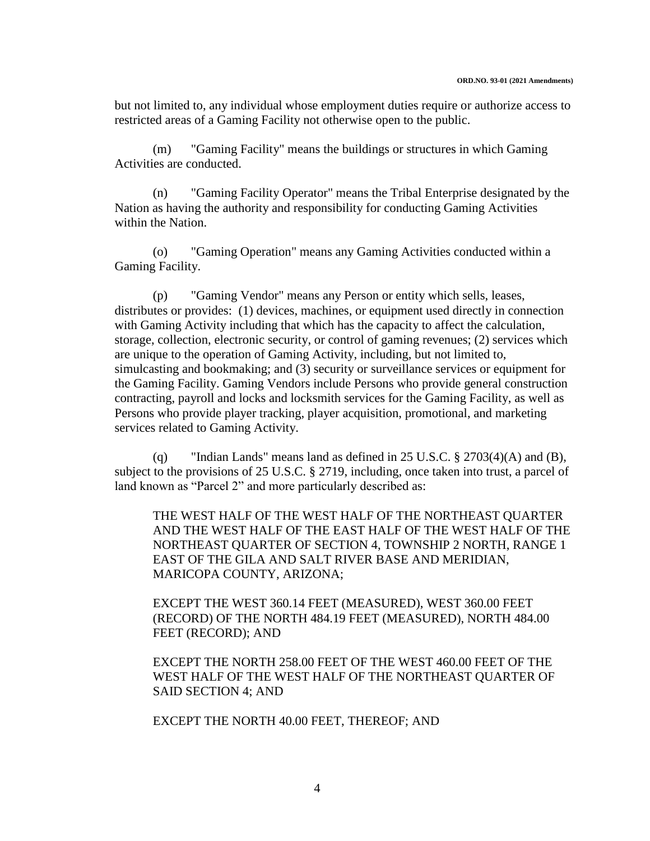but not limited to, any individual whose employment duties require or authorize access to restricted areas of a Gaming Facility not otherwise open to the public.

(m) "Gaming Facility" means the buildings or structures in which Gaming Activities are conducted.

(n) "Gaming Facility Operator" means the Tribal Enterprise designated by the Nation as having the authority and responsibility for conducting Gaming Activities within the Nation.

(o) "Gaming Operation" means any Gaming Activities conducted within a Gaming Facility.

(p) "Gaming Vendor" means any Person or entity which sells, leases, distributes or provides: (1) devices, machines, or equipment used directly in connection with Gaming Activity including that which has the capacity to affect the calculation, storage, collection, electronic security, or control of gaming revenues; (2) services which are unique to the operation of Gaming Activity, including, but not limited to, simulcasting and bookmaking; and (3) security or surveillance services or equipment for the Gaming Facility. Gaming Vendors include Persons who provide general construction contracting, payroll and locks and locksmith services for the Gaming Facility, as well as Persons who provide player tracking, player acquisition, promotional, and marketing services related to Gaming Activity.

(q) "Indian Lands" means land as defined in 25 U.S.C.  $\S 2703(4)$  (A) and (B), subject to the provisions of 25 U.S.C. § 2719, including, once taken into trust, a parcel of land known as "Parcel 2" and more particularly described as:

THE WEST HALF OF THE WEST HALF OF THE NORTHEAST QUARTER AND THE WEST HALF OF THE EAST HALF OF THE WEST HALF OF THE NORTHEAST QUARTER OF SECTION 4, TOWNSHIP 2 NORTH, RANGE 1 EAST OF THE GILA AND SALT RIVER BASE AND MERIDIAN, MARICOPA COUNTY, ARIZONA;

EXCEPT THE WEST 360.14 FEET (MEASURED), WEST 360.00 FEET (RECORD) OF THE NORTH 484.19 FEET (MEASURED), NORTH 484.00 FEET (RECORD); AND

EXCEPT THE NORTH 258.00 FEET OF THE WEST 460.00 FEET OF THE WEST HALF OF THE WEST HALF OF THE NORTHEAST QUARTER OF SAID SECTION 4; AND

EXCEPT THE NORTH 40.00 FEET, THEREOF; AND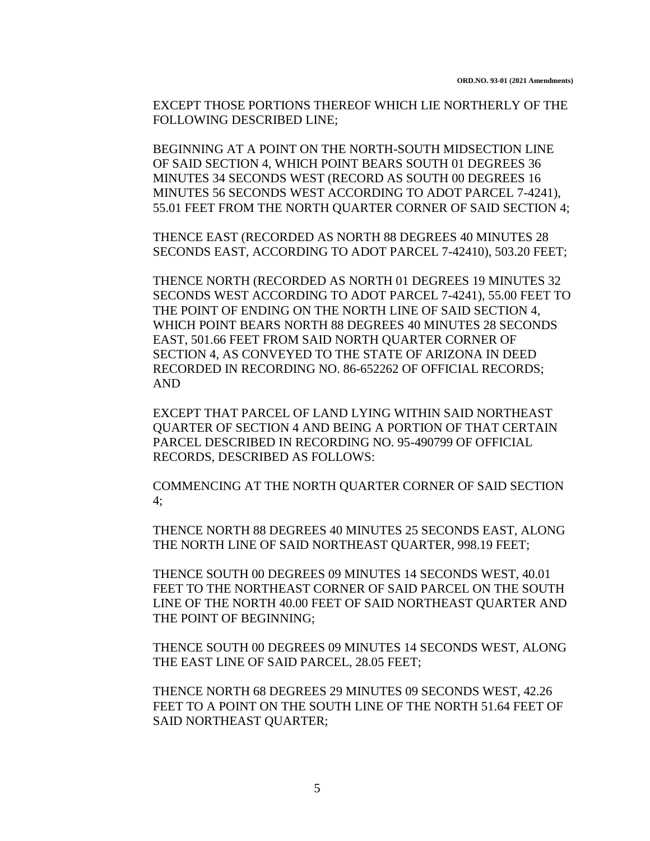EXCEPT THOSE PORTIONS THEREOF WHICH LIE NORTHERLY OF THE FOLLOWING DESCRIBED LINE;

BEGINNING AT A POINT ON THE NORTH-SOUTH MIDSECTION LINE OF SAID SECTION 4, WHICH POINT BEARS SOUTH 01 DEGREES 36 MINUTES 34 SECONDS WEST (RECORD AS SOUTH 00 DEGREES 16 MINUTES 56 SECONDS WEST ACCORDING TO ADOT PARCEL 7-4241), 55.01 FEET FROM THE NORTH QUARTER CORNER OF SAID SECTION 4;

THENCE EAST (RECORDED AS NORTH 88 DEGREES 40 MINUTES 28 SECONDS EAST, ACCORDING TO ADOT PARCEL 7-42410), 503.20 FEET;

THENCE NORTH (RECORDED AS NORTH 01 DEGREES 19 MINUTES 32 SECONDS WEST ACCORDING TO ADOT PARCEL 7-4241), 55.00 FEET TO THE POINT OF ENDING ON THE NORTH LINE OF SAID SECTION 4, WHICH POINT BEARS NORTH 88 DEGREES 40 MINUTES 28 SECONDS EAST, 501.66 FEET FROM SAID NORTH QUARTER CORNER OF SECTION 4, AS CONVEYED TO THE STATE OF ARIZONA IN DEED RECORDED IN RECORDING NO. 86-652262 OF OFFICIAL RECORDS; AND

EXCEPT THAT PARCEL OF LAND LYING WITHIN SAID NORTHEAST QUARTER OF SECTION 4 AND BEING A PORTION OF THAT CERTAIN PARCEL DESCRIBED IN RECORDING NO. 95-490799 OF OFFICIAL RECORDS, DESCRIBED AS FOLLOWS:

COMMENCING AT THE NORTH QUARTER CORNER OF SAID SECTION 4;

THENCE NORTH 88 DEGREES 40 MINUTES 25 SECONDS EAST, ALONG THE NORTH LINE OF SAID NORTHEAST QUARTER, 998.19 FEET;

THENCE SOUTH 00 DEGREES 09 MINUTES 14 SECONDS WEST, 40.01 FEET TO THE NORTHEAST CORNER OF SAID PARCEL ON THE SOUTH LINE OF THE NORTH 40.00 FEET OF SAID NORTHEAST QUARTER AND THE POINT OF BEGINNING;

THENCE SOUTH 00 DEGREES 09 MINUTES 14 SECONDS WEST, ALONG THE EAST LINE OF SAID PARCEL, 28.05 FEET;

THENCE NORTH 68 DEGREES 29 MINUTES 09 SECONDS WEST, 42.26 FEET TO A POINT ON THE SOUTH LINE OF THE NORTH 51.64 FEET OF SAID NORTHEAST QUARTER;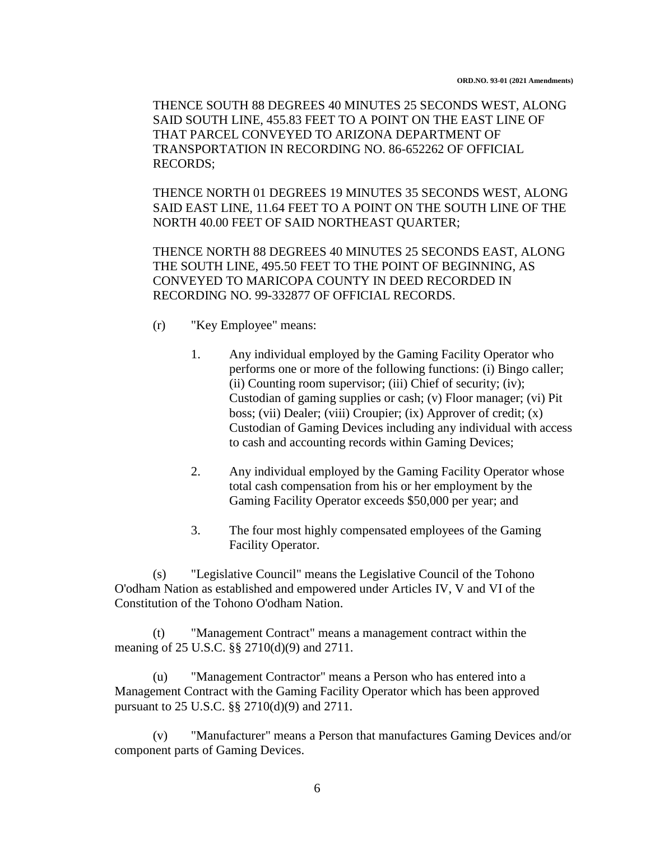THENCE SOUTH 88 DEGREES 40 MINUTES 25 SECONDS WEST, ALONG SAID SOUTH LINE, 455.83 FEET TO A POINT ON THE EAST LINE OF THAT PARCEL CONVEYED TO ARIZONA DEPARTMENT OF TRANSPORTATION IN RECORDING NO. 86-652262 OF OFFICIAL RECORDS;

THENCE NORTH 01 DEGREES 19 MINUTES 35 SECONDS WEST, ALONG SAID EAST LINE, 11.64 FEET TO A POINT ON THE SOUTH LINE OF THE NORTH 40.00 FEET OF SAID NORTHEAST QUARTER;

THENCE NORTH 88 DEGREES 40 MINUTES 25 SECONDS EAST, ALONG THE SOUTH LINE, 495.50 FEET TO THE POINT OF BEGINNING, AS CONVEYED TO MARICOPA COUNTY IN DEED RECORDED IN RECORDING NO. 99-332877 OF OFFICIAL RECORDS.

- (r) "Key Employee" means:
	- 1. Any individual employed by the Gaming Facility Operator who performs one or more of the following functions: (i) Bingo caller; (ii) Counting room supervisor; (iii) Chief of security; (iv); Custodian of gaming supplies or cash; (v) Floor manager; (vi) Pit boss; (vii) Dealer; (viii) Croupier; (ix) Approver of credit; (x) Custodian of Gaming Devices including any individual with access to cash and accounting records within Gaming Devices;
	- 2. Any individual employed by the Gaming Facility Operator whose total cash compensation from his or her employment by the Gaming Facility Operator exceeds \$50,000 per year; and
	- 3. The four most highly compensated employees of the Gaming Facility Operator.

(s) "Legislative Council" means the Legislative Council of the Tohono O'odham Nation as established and empowered under Articles IV, V and VI of the Constitution of the Tohono O'odham Nation.

(t) "Management Contract" means a management contract within the meaning of 25 U.S.C. §§ 2710(d)(9) and 2711.

(u) "Management Contractor" means a Person who has entered into a Management Contract with the Gaming Facility Operator which has been approved pursuant to 25 U.S.C. §§ 2710(d)(9) and 2711.

(v) "Manufacturer" means a Person that manufactures Gaming Devices and/or component parts of Gaming Devices.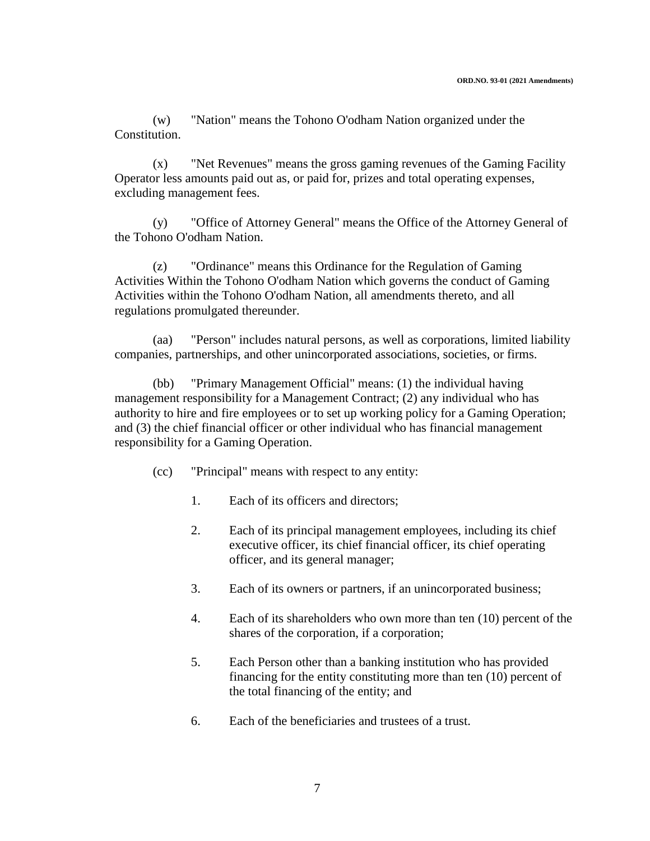(w) "Nation" means the Tohono O'odham Nation organized under the Constitution.

(x) "Net Revenues" means the gross gaming revenues of the Gaming Facility Operator less amounts paid out as, or paid for, prizes and total operating expenses, excluding management fees.

(y) "Office of Attorney General" means the Office of the Attorney General of the Tohono O'odham Nation.

(z) "Ordinance" means this Ordinance for the Regulation of Gaming Activities Within the Tohono O'odham Nation which governs the conduct of Gaming Activities within the Tohono O'odham Nation, all amendments thereto, and all regulations promulgated thereunder.

(aa) "Person" includes natural persons, as well as corporations, limited liability companies, partnerships, and other unincorporated associations, societies, or firms.

(bb) "Primary Management Official" means: (1) the individual having management responsibility for a Management Contract; (2) any individual who has authority to hire and fire employees or to set up working policy for a Gaming Operation; and (3) the chief financial officer or other individual who has financial management responsibility for a Gaming Operation.

- (cc) "Principal" means with respect to any entity:
	- 1. Each of its officers and directors;
	- 2. Each of its principal management employees, including its chief executive officer, its chief financial officer, its chief operating officer, and its general manager;
	- 3. Each of its owners or partners, if an unincorporated business;
	- 4. Each of its shareholders who own more than ten (10) percent of the shares of the corporation, if a corporation;
	- 5. Each Person other than a banking institution who has provided financing for the entity constituting more than ten (10) percent of the total financing of the entity; and
	- 6. Each of the beneficiaries and trustees of a trust.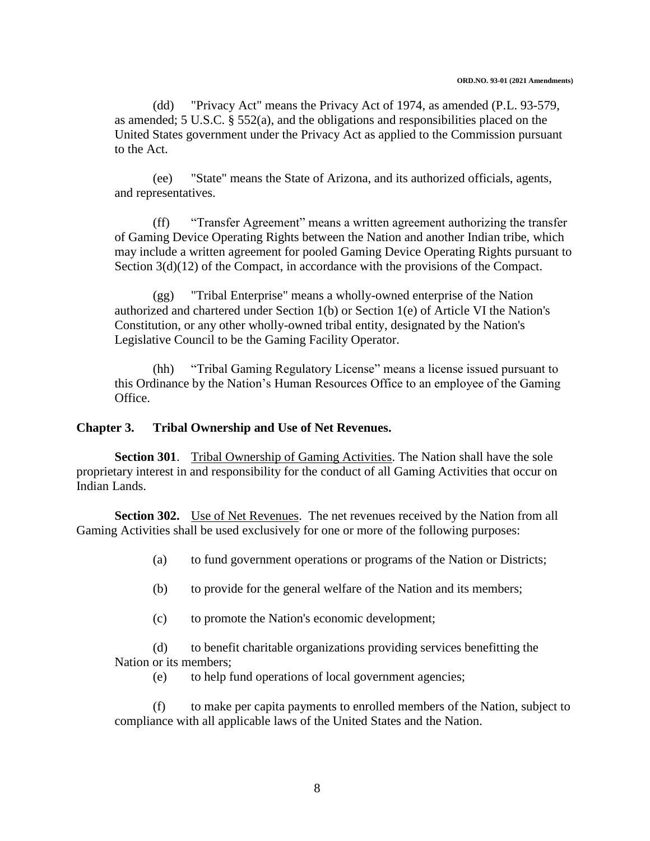(dd) "Privacy Act" means the Privacy Act of 1974, as amended (P.L. 93-579, as amended; 5 U.S.C. § 552(a), and the obligations and responsibilities placed on the United States government under the Privacy Act as applied to the Commission pursuant to the Act.

(ee) "State" means the State of Arizona, and its authorized officials, agents, and representatives.

(ff) "Transfer Agreement" means a written agreement authorizing the transfer of Gaming Device Operating Rights between the Nation and another Indian tribe, which may include a written agreement for pooled Gaming Device Operating Rights pursuant to Section  $3(d)(12)$  of the Compact, in accordance with the provisions of the Compact.

(gg) "Tribal Enterprise" means a wholly-owned enterprise of the Nation authorized and chartered under Section 1(b) or Section 1(e) of Article VI the Nation's Constitution, or any other wholly-owned tribal entity, designated by the Nation's Legislative Council to be the Gaming Facility Operator.

(hh) "Tribal Gaming Regulatory License" means a license issued pursuant to this Ordinance by the Nation's Human Resources Office to an employee of the Gaming Office.

### **Chapter 3. Tribal Ownership and Use of Net Revenues.**

**Section 301**. Tribal Ownership of Gaming Activities. The Nation shall have the sole proprietary interest in and responsibility for the conduct of all Gaming Activities that occur on Indian Lands.

**Section 302.** Use of Net Revenues. The net revenues received by the Nation from all Gaming Activities shall be used exclusively for one or more of the following purposes:

- (a) to fund government operations or programs of the Nation or Districts;
- (b) to provide for the general welfare of the Nation and its members;
- (c) to promote the Nation's economic development;

(d) to benefit charitable organizations providing services benefitting the Nation or its members;

(e) to help fund operations of local government agencies;

(f) to make per capita payments to enrolled members of the Nation, subject to compliance with all applicable laws of the United States and the Nation.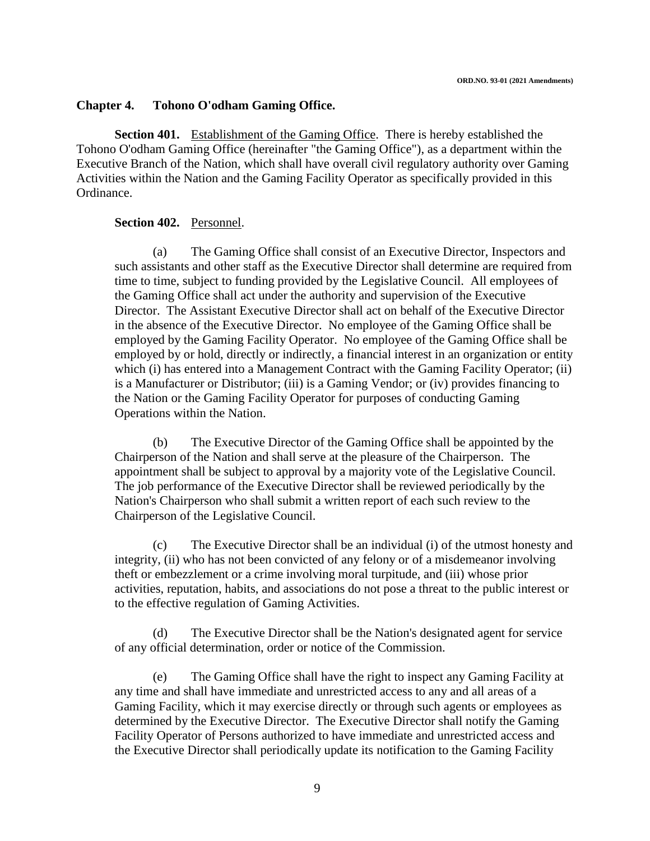#### **Chapter 4. Tohono O'odham Gaming Office.**

**Section 401.** Establishment of the Gaming Office. There is hereby established the Tohono O'odham Gaming Office (hereinafter "the Gaming Office"), as a department within the Executive Branch of the Nation, which shall have overall civil regulatory authority over Gaming Activities within the Nation and the Gaming Facility Operator as specifically provided in this Ordinance.

#### **Section 402.** Personnel.

(a) The Gaming Office shall consist of an Executive Director, Inspectors and such assistants and other staff as the Executive Director shall determine are required from time to time, subject to funding provided by the Legislative Council. All employees of the Gaming Office shall act under the authority and supervision of the Executive Director. The Assistant Executive Director shall act on behalf of the Executive Director in the absence of the Executive Director. No employee of the Gaming Office shall be employed by the Gaming Facility Operator. No employee of the Gaming Office shall be employed by or hold, directly or indirectly, a financial interest in an organization or entity which (i) has entered into a Management Contract with the Gaming Facility Operator; (ii) is a Manufacturer or Distributor; (iii) is a Gaming Vendor; or (iv) provides financing to the Nation or the Gaming Facility Operator for purposes of conducting Gaming Operations within the Nation.

(b) The Executive Director of the Gaming Office shall be appointed by the Chairperson of the Nation and shall serve at the pleasure of the Chairperson. The appointment shall be subject to approval by a majority vote of the Legislative Council. The job performance of the Executive Director shall be reviewed periodically by the Nation's Chairperson who shall submit a written report of each such review to the Chairperson of the Legislative Council.

(c) The Executive Director shall be an individual (i) of the utmost honesty and integrity, (ii) who has not been convicted of any felony or of a misdemeanor involving theft or embezzlement or a crime involving moral turpitude, and (iii) whose prior activities, reputation, habits, and associations do not pose a threat to the public interest or to the effective regulation of Gaming Activities.

(d) The Executive Director shall be the Nation's designated agent for service of any official determination, order or notice of the Commission.

(e) The Gaming Office shall have the right to inspect any Gaming Facility at any time and shall have immediate and unrestricted access to any and all areas of a Gaming Facility, which it may exercise directly or through such agents or employees as determined by the Executive Director. The Executive Director shall notify the Gaming Facility Operator of Persons authorized to have immediate and unrestricted access and the Executive Director shall periodically update its notification to the Gaming Facility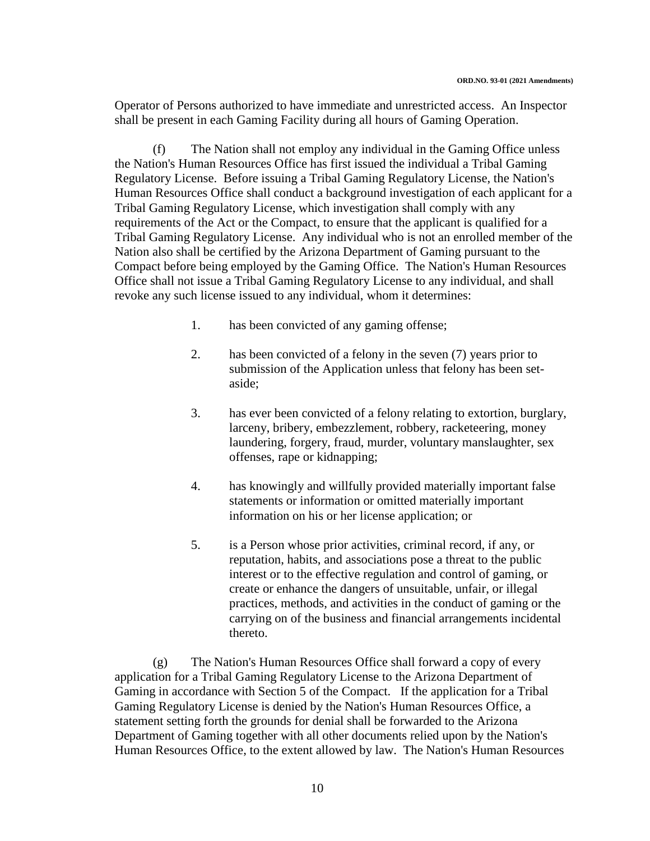Operator of Persons authorized to have immediate and unrestricted access. An Inspector shall be present in each Gaming Facility during all hours of Gaming Operation.

(f) The Nation shall not employ any individual in the Gaming Office unless the Nation's Human Resources Office has first issued the individual a Tribal Gaming Regulatory License. Before issuing a Tribal Gaming Regulatory License, the Nation's Human Resources Office shall conduct a background investigation of each applicant for a Tribal Gaming Regulatory License, which investigation shall comply with any requirements of the Act or the Compact, to ensure that the applicant is qualified for a Tribal Gaming Regulatory License. Any individual who is not an enrolled member of the Nation also shall be certified by the Arizona Department of Gaming pursuant to the Compact before being employed by the Gaming Office. The Nation's Human Resources Office shall not issue a Tribal Gaming Regulatory License to any individual, and shall revoke any such license issued to any individual, whom it determines:

- 1. has been convicted of any gaming offense;
- 2. has been convicted of a felony in the seven (7) years prior to submission of the Application unless that felony has been setaside;
- 3. has ever been convicted of a felony relating to extortion, burglary, larceny, bribery, embezzlement, robbery, racketeering, money laundering, forgery, fraud, murder, voluntary manslaughter, sex offenses, rape or kidnapping;
- 4. has knowingly and willfully provided materially important false statements or information or omitted materially important information on his or her license application; or
- 5. is a Person whose prior activities, criminal record, if any, or reputation, habits, and associations pose a threat to the public interest or to the effective regulation and control of gaming, or create or enhance the dangers of unsuitable, unfair, or illegal practices, methods, and activities in the conduct of gaming or the carrying on of the business and financial arrangements incidental thereto.

(g) The Nation's Human Resources Office shall forward a copy of every application for a Tribal Gaming Regulatory License to the Arizona Department of Gaming in accordance with Section 5 of the Compact. If the application for a Tribal Gaming Regulatory License is denied by the Nation's Human Resources Office, a statement setting forth the grounds for denial shall be forwarded to the Arizona Department of Gaming together with all other documents relied upon by the Nation's Human Resources Office, to the extent allowed by law. The Nation's Human Resources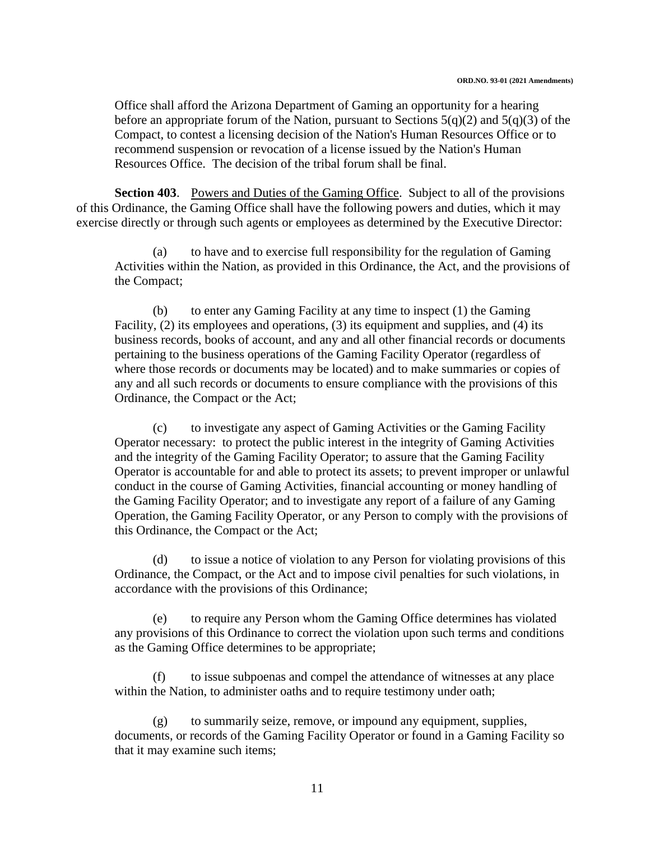Office shall afford the Arizona Department of Gaming an opportunity for a hearing before an appropriate forum of the Nation, pursuant to Sections  $5(q)(2)$  and  $5(q)(3)$  of the Compact, to contest a licensing decision of the Nation's Human Resources Office or to recommend suspension or revocation of a license issued by the Nation's Human Resources Office. The decision of the tribal forum shall be final.

**Section 403.** Powers and Duties of the Gaming Office. Subject to all of the provisions of this Ordinance, the Gaming Office shall have the following powers and duties, which it may exercise directly or through such agents or employees as determined by the Executive Director:

(a) to have and to exercise full responsibility for the regulation of Gaming Activities within the Nation, as provided in this Ordinance, the Act, and the provisions of the Compact;

(b) to enter any Gaming Facility at any time to inspect (1) the Gaming Facility, (2) its employees and operations, (3) its equipment and supplies, and (4) its business records, books of account, and any and all other financial records or documents pertaining to the business operations of the Gaming Facility Operator (regardless of where those records or documents may be located) and to make summaries or copies of any and all such records or documents to ensure compliance with the provisions of this Ordinance, the Compact or the Act;

(c) to investigate any aspect of Gaming Activities or the Gaming Facility Operator necessary: to protect the public interest in the integrity of Gaming Activities and the integrity of the Gaming Facility Operator; to assure that the Gaming Facility Operator is accountable for and able to protect its assets; to prevent improper or unlawful conduct in the course of Gaming Activities, financial accounting or money handling of the Gaming Facility Operator; and to investigate any report of a failure of any Gaming Operation, the Gaming Facility Operator, or any Person to comply with the provisions of this Ordinance, the Compact or the Act;

(d) to issue a notice of violation to any Person for violating provisions of this Ordinance, the Compact, or the Act and to impose civil penalties for such violations, in accordance with the provisions of this Ordinance;

(e) to require any Person whom the Gaming Office determines has violated any provisions of this Ordinance to correct the violation upon such terms and conditions as the Gaming Office determines to be appropriate;

(f) to issue subpoenas and compel the attendance of witnesses at any place within the Nation, to administer oaths and to require testimony under oath;

(g) to summarily seize, remove, or impound any equipment, supplies, documents, or records of the Gaming Facility Operator or found in a Gaming Facility so that it may examine such items;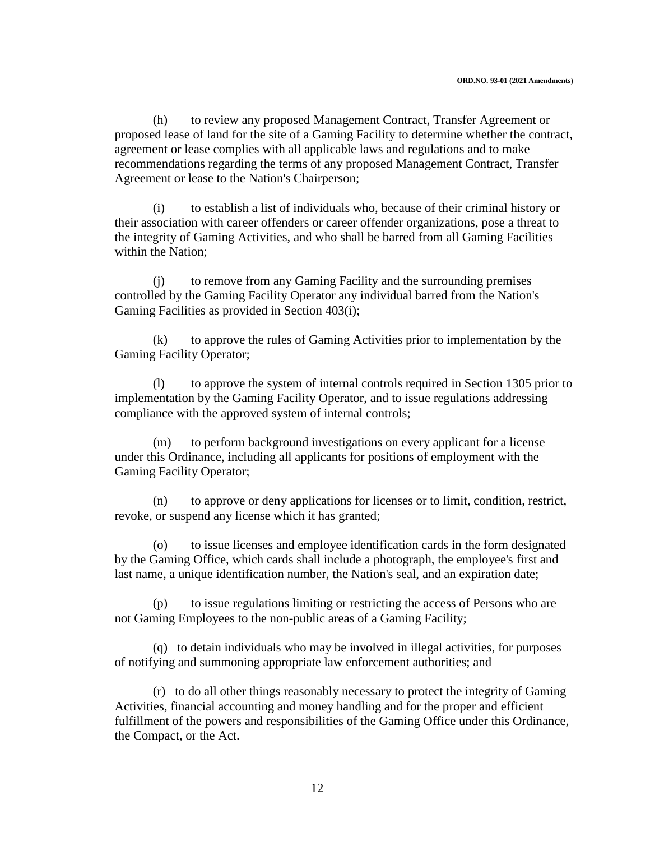(h) to review any proposed Management Contract, Transfer Agreement or proposed lease of land for the site of a Gaming Facility to determine whether the contract, agreement or lease complies with all applicable laws and regulations and to make recommendations regarding the terms of any proposed Management Contract, Transfer Agreement or lease to the Nation's Chairperson;

(i) to establish a list of individuals who, because of their criminal history or their association with career offenders or career offender organizations, pose a threat to the integrity of Gaming Activities, and who shall be barred from all Gaming Facilities within the Nation;

(j) to remove from any Gaming Facility and the surrounding premises controlled by the Gaming Facility Operator any individual barred from the Nation's Gaming Facilities as provided in Section 403(i);

(k) to approve the rules of Gaming Activities prior to implementation by the Gaming Facility Operator;

(l) to approve the system of internal controls required in Section 1305 prior to implementation by the Gaming Facility Operator, and to issue regulations addressing compliance with the approved system of internal controls;

(m) to perform background investigations on every applicant for a license under this Ordinance, including all applicants for positions of employment with the Gaming Facility Operator;

(n) to approve or deny applications for licenses or to limit, condition, restrict, revoke, or suspend any license which it has granted;

(o) to issue licenses and employee identification cards in the form designated by the Gaming Office, which cards shall include a photograph, the employee's first and last name, a unique identification number, the Nation's seal, and an expiration date;

(p) to issue regulations limiting or restricting the access of Persons who are not Gaming Employees to the non-public areas of a Gaming Facility;

(q) to detain individuals who may be involved in illegal activities, for purposes of notifying and summoning appropriate law enforcement authorities; and

(r) to do all other things reasonably necessary to protect the integrity of Gaming Activities, financial accounting and money handling and for the proper and efficient fulfillment of the powers and responsibilities of the Gaming Office under this Ordinance, the Compact, or the Act.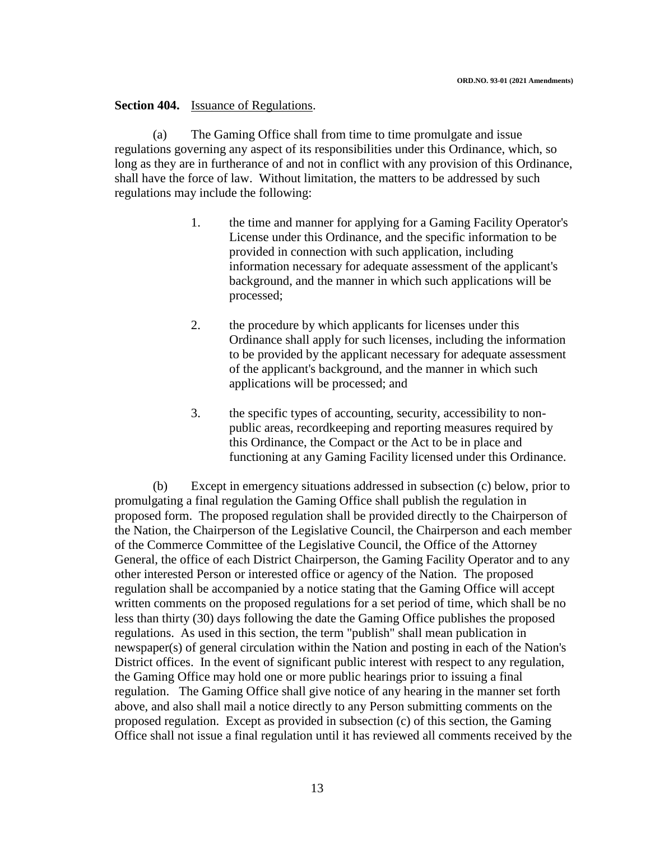### **Section 404.** Issuance of Regulations.

(a) The Gaming Office shall from time to time promulgate and issue regulations governing any aspect of its responsibilities under this Ordinance, which, so long as they are in furtherance of and not in conflict with any provision of this Ordinance, shall have the force of law. Without limitation, the matters to be addressed by such regulations may include the following:

- 1. the time and manner for applying for a Gaming Facility Operator's License under this Ordinance, and the specific information to be provided in connection with such application, including information necessary for adequate assessment of the applicant's background, and the manner in which such applications will be processed;
- 2. the procedure by which applicants for licenses under this Ordinance shall apply for such licenses, including the information to be provided by the applicant necessary for adequate assessment of the applicant's background, and the manner in which such applications will be processed; and
- 3. the specific types of accounting, security, accessibility to nonpublic areas, recordkeeping and reporting measures required by this Ordinance, the Compact or the Act to be in place and functioning at any Gaming Facility licensed under this Ordinance.

(b) Except in emergency situations addressed in subsection (c) below, prior to promulgating a final regulation the Gaming Office shall publish the regulation in proposed form. The proposed regulation shall be provided directly to the Chairperson of the Nation, the Chairperson of the Legislative Council, the Chairperson and each member of the Commerce Committee of the Legislative Council, the Office of the Attorney General, the office of each District Chairperson, the Gaming Facility Operator and to any other interested Person or interested office or agency of the Nation. The proposed regulation shall be accompanied by a notice stating that the Gaming Office will accept written comments on the proposed regulations for a set period of time, which shall be no less than thirty (30) days following the date the Gaming Office publishes the proposed regulations. As used in this section, the term "publish" shall mean publication in newspaper(s) of general circulation within the Nation and posting in each of the Nation's District offices. In the event of significant public interest with respect to any regulation, the Gaming Office may hold one or more public hearings prior to issuing a final regulation. The Gaming Office shall give notice of any hearing in the manner set forth above, and also shall mail a notice directly to any Person submitting comments on the proposed regulation. Except as provided in subsection (c) of this section, the Gaming Office shall not issue a final regulation until it has reviewed all comments received by the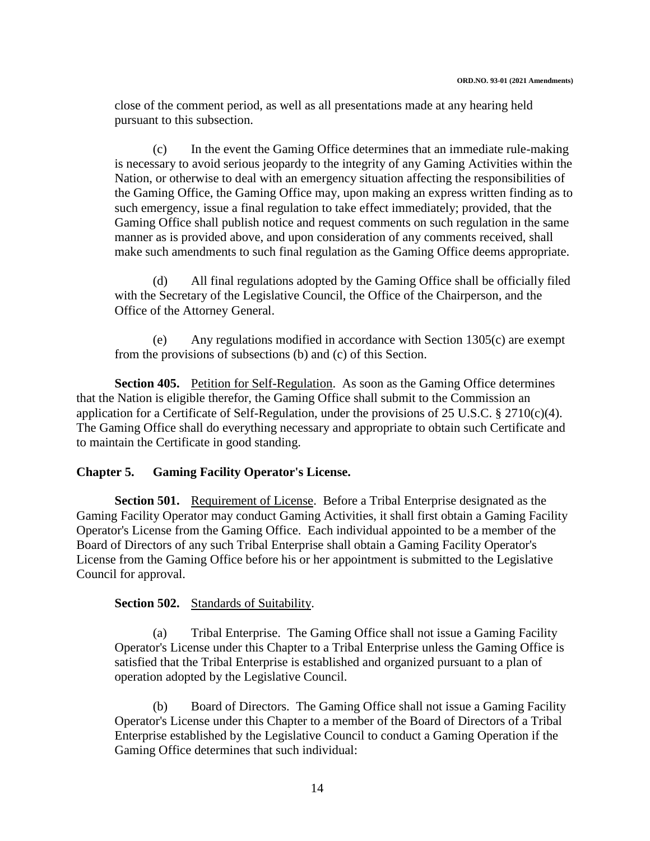close of the comment period, as well as all presentations made at any hearing held pursuant to this subsection.

(c) In the event the Gaming Office determines that an immediate rule-making is necessary to avoid serious jeopardy to the integrity of any Gaming Activities within the Nation, or otherwise to deal with an emergency situation affecting the responsibilities of the Gaming Office, the Gaming Office may, upon making an express written finding as to such emergency, issue a final regulation to take effect immediately; provided, that the Gaming Office shall publish notice and request comments on such regulation in the same manner as is provided above, and upon consideration of any comments received, shall make such amendments to such final regulation as the Gaming Office deems appropriate.

(d) All final regulations adopted by the Gaming Office shall be officially filed with the Secretary of the Legislative Council, the Office of the Chairperson, and the Office of the Attorney General.

(e) Any regulations modified in accordance with Section 1305(c) are exempt from the provisions of subsections (b) and (c) of this Section.

**Section 405.** Petition for Self-Regulation. As soon as the Gaming Office determines that the Nation is eligible therefor, the Gaming Office shall submit to the Commission an application for a Certificate of Self-Regulation, under the provisions of 25 U.S.C. § 2710(c)(4). The Gaming Office shall do everything necessary and appropriate to obtain such Certificate and to maintain the Certificate in good standing.

### **Chapter 5. Gaming Facility Operator's License.**

**Section 501.** Requirement of License. Before a Tribal Enterprise designated as the Gaming Facility Operator may conduct Gaming Activities, it shall first obtain a Gaming Facility Operator's License from the Gaming Office. Each individual appointed to be a member of the Board of Directors of any such Tribal Enterprise shall obtain a Gaming Facility Operator's License from the Gaming Office before his or her appointment is submitted to the Legislative Council for approval.

### **Section 502.** Standards of Suitability.

(a) Tribal Enterprise. The Gaming Office shall not issue a Gaming Facility Operator's License under this Chapter to a Tribal Enterprise unless the Gaming Office is satisfied that the Tribal Enterprise is established and organized pursuant to a plan of operation adopted by the Legislative Council.

(b) Board of Directors. The Gaming Office shall not issue a Gaming Facility Operator's License under this Chapter to a member of the Board of Directors of a Tribal Enterprise established by the Legislative Council to conduct a Gaming Operation if the Gaming Office determines that such individual: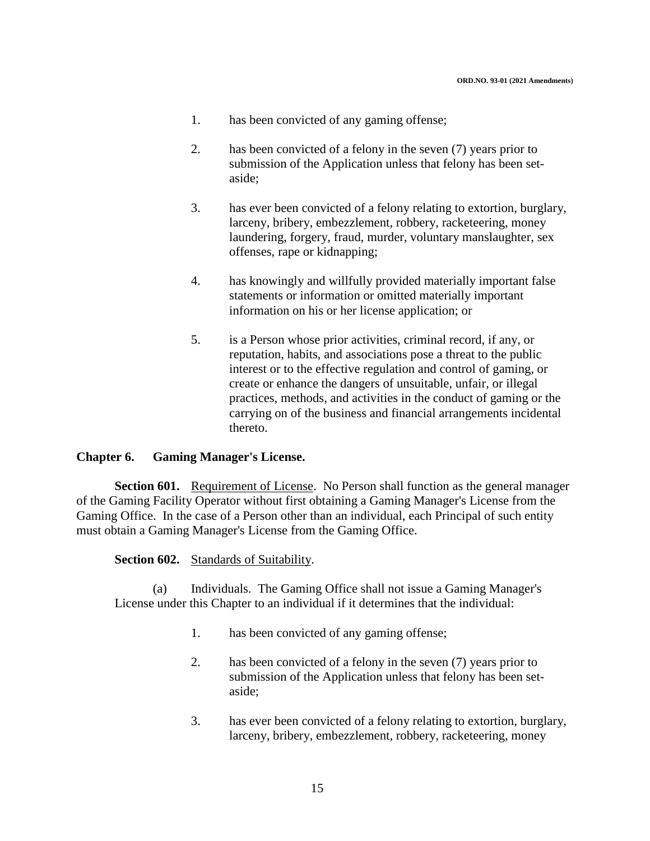- 1. has been convicted of any gaming offense;
- 2. has been convicted of a felony in the seven (7) years prior to submission of the Application unless that felony has been setaside;
- 3. has ever been convicted of a felony relating to extortion, burglary, larceny, bribery, embezzlement, robbery, racketeering, money laundering, forgery, fraud, murder, voluntary manslaughter, sex offenses, rape or kidnapping;
- 4. has knowingly and willfully provided materially important false statements or information or omitted materially important information on his or her license application; or
- 5. is a Person whose prior activities, criminal record, if any, or reputation, habits, and associations pose a threat to the public interest or to the effective regulation and control of gaming, or create or enhance the dangers of unsuitable, unfair, or illegal practices, methods, and activities in the conduct of gaming or the carrying on of the business and financial arrangements incidental thereto.

#### **Chapter 6. Gaming Manager's License.**

**Section 601.** Requirement of License. No Person shall function as the general manager of the Gaming Facility Operator without first obtaining a Gaming Manager's License from the Gaming Office. In the case of a Person other than an individual, each Principal of such entity must obtain a Gaming Manager's License from the Gaming Office.

#### **Section 602.** Standards of Suitability.

(a) Individuals. The Gaming Office shall not issue a Gaming Manager's License under this Chapter to an individual if it determines that the individual:

- 1. has been convicted of any gaming offense;
- 2. has been convicted of a felony in the seven (7) years prior to submission of the Application unless that felony has been setaside;
- 3. has ever been convicted of a felony relating to extortion, burglary, larceny, bribery, embezzlement, robbery, racketeering, money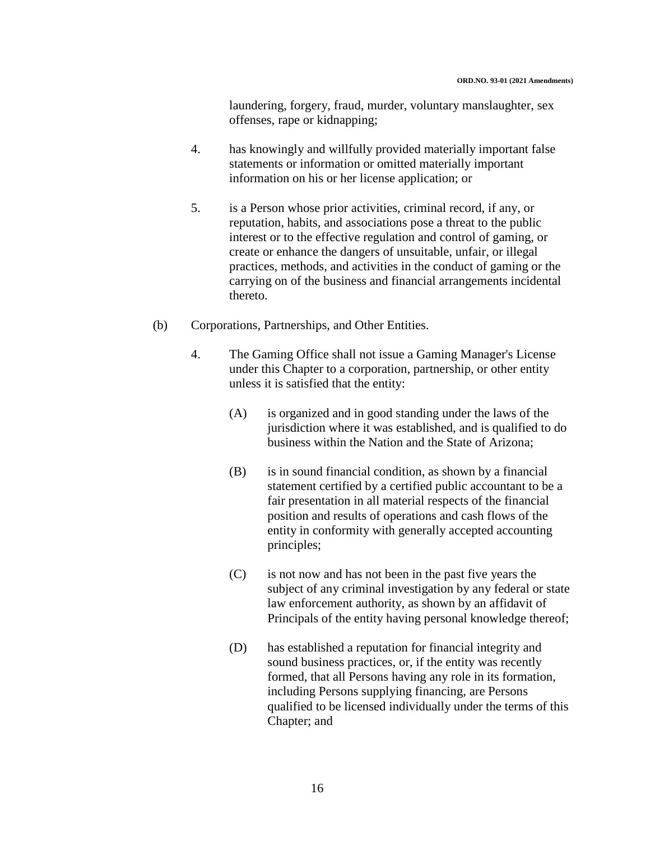laundering, forgery, fraud, murder, voluntary manslaughter, sex offenses, rape or kidnapping;

- 4. has knowingly and willfully provided materially important false statements or information or omitted materially important information on his or her license application; or
- 5. is a Person whose prior activities, criminal record, if any, or reputation, habits, and associations pose a threat to the public interest or to the effective regulation and control of gaming, or create or enhance the dangers of unsuitable, unfair, or illegal practices, methods, and activities in the conduct of gaming or the carrying on of the business and financial arrangements incidental thereto.
- (b) Corporations, Partnerships, and Other Entities.
	- 4. The Gaming Office shall not issue a Gaming Manager's License under this Chapter to a corporation, partnership, or other entity unless it is satisfied that the entity:
		- (A) is organized and in good standing under the laws of the jurisdiction where it was established, and is qualified to do business within the Nation and the State of Arizona;
		- (B) is in sound financial condition, as shown by a financial statement certified by a certified public accountant to be a fair presentation in all material respects of the financial position and results of operations and cash flows of the entity in conformity with generally accepted accounting principles;
		- (C) is not now and has not been in the past five years the subject of any criminal investigation by any federal or state law enforcement authority, as shown by an affidavit of Principals of the entity having personal knowledge thereof;
		- (D) has established a reputation for financial integrity and sound business practices, or, if the entity was recently formed, that all Persons having any role in its formation, including Persons supplying financing, are Persons qualified to be licensed individually under the terms of this Chapter; and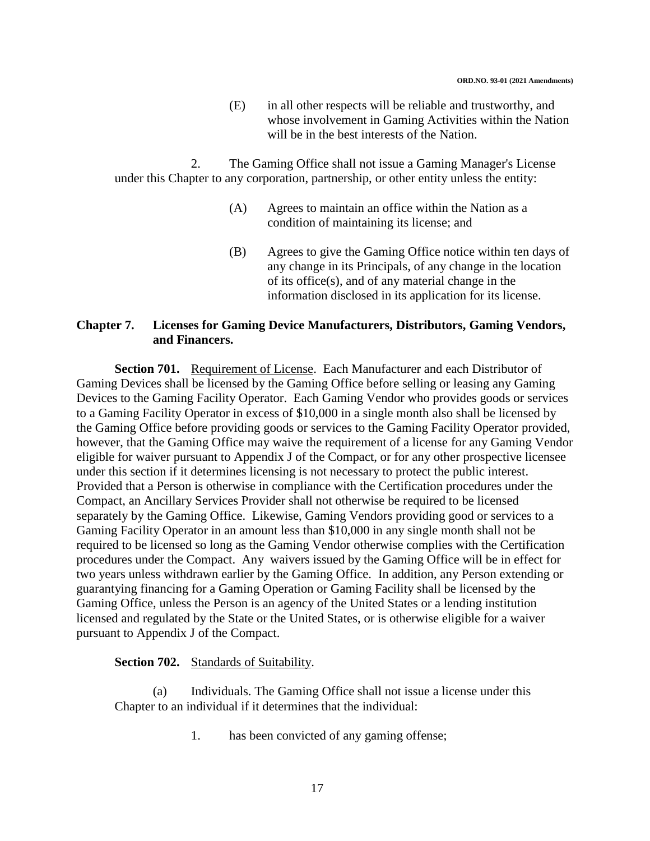(E) in all other respects will be reliable and trustworthy, and whose involvement in Gaming Activities within the Nation will be in the best interests of the Nation.

2. The Gaming Office shall not issue a Gaming Manager's License under this Chapter to any corporation, partnership, or other entity unless the entity:

- (A) Agrees to maintain an office within the Nation as a condition of maintaining its license; and
- (B) Agrees to give the Gaming Office notice within ten days of any change in its Principals, of any change in the location of its office(s), and of any material change in the information disclosed in its application for its license.

### **Chapter 7. Licenses for Gaming Device Manufacturers, Distributors, Gaming Vendors, and Financers.**

**Section 701.** Requirement of License. Each Manufacturer and each Distributor of Gaming Devices shall be licensed by the Gaming Office before selling or leasing any Gaming Devices to the Gaming Facility Operator. Each Gaming Vendor who provides goods or services to a Gaming Facility Operator in excess of \$10,000 in a single month also shall be licensed by the Gaming Office before providing goods or services to the Gaming Facility Operator provided, however, that the Gaming Office may waive the requirement of a license for any Gaming Vendor eligible for waiver pursuant to Appendix J of the Compact, or for any other prospective licensee under this section if it determines licensing is not necessary to protect the public interest. Provided that a Person is otherwise in compliance with the Certification procedures under the Compact, an Ancillary Services Provider shall not otherwise be required to be licensed separately by the Gaming Office. Likewise, Gaming Vendors providing good or services to a Gaming Facility Operator in an amount less than \$10,000 in any single month shall not be required to be licensed so long as the Gaming Vendor otherwise complies with the Certification procedures under the Compact. Any waivers issued by the Gaming Office will be in effect for two years unless withdrawn earlier by the Gaming Office. In addition, any Person extending or guarantying financing for a Gaming Operation or Gaming Facility shall be licensed by the Gaming Office, unless the Person is an agency of the United States or a lending institution licensed and regulated by the State or the United States, or is otherwise eligible for a waiver pursuant to Appendix J of the Compact.

### **Section 702.** Standards of Suitability.

(a) Individuals. The Gaming Office shall not issue a license under this Chapter to an individual if it determines that the individual:

1. has been convicted of any gaming offense;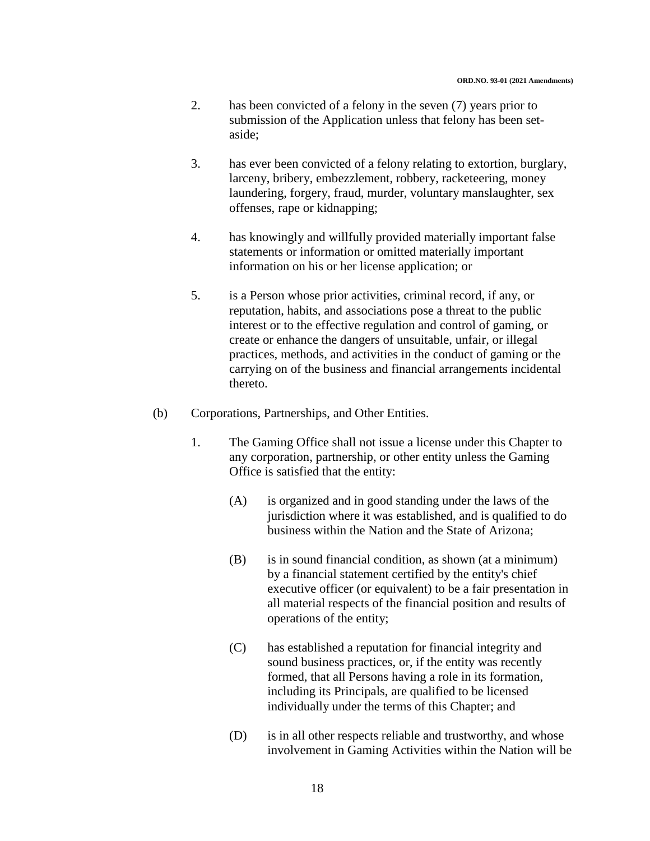- 2. has been convicted of a felony in the seven (7) years prior to submission of the Application unless that felony has been setaside;
- 3. has ever been convicted of a felony relating to extortion, burglary, larceny, bribery, embezzlement, robbery, racketeering, money laundering, forgery, fraud, murder, voluntary manslaughter, sex offenses, rape or kidnapping;
- 4. has knowingly and willfully provided materially important false statements or information or omitted materially important information on his or her license application; or
- 5. is a Person whose prior activities, criminal record, if any, or reputation, habits, and associations pose a threat to the public interest or to the effective regulation and control of gaming, or create or enhance the dangers of unsuitable, unfair, or illegal practices, methods, and activities in the conduct of gaming or the carrying on of the business and financial arrangements incidental thereto.
- (b) Corporations, Partnerships, and Other Entities.
	- 1. The Gaming Office shall not issue a license under this Chapter to any corporation, partnership, or other entity unless the Gaming Office is satisfied that the entity:
		- (A) is organized and in good standing under the laws of the jurisdiction where it was established, and is qualified to do business within the Nation and the State of Arizona;
		- (B) is in sound financial condition, as shown (at a minimum) by a financial statement certified by the entity's chief executive officer (or equivalent) to be a fair presentation in all material respects of the financial position and results of operations of the entity;
		- (C) has established a reputation for financial integrity and sound business practices, or, if the entity was recently formed, that all Persons having a role in its formation, including its Principals, are qualified to be licensed individually under the terms of this Chapter; and
		- (D) is in all other respects reliable and trustworthy, and whose involvement in Gaming Activities within the Nation will be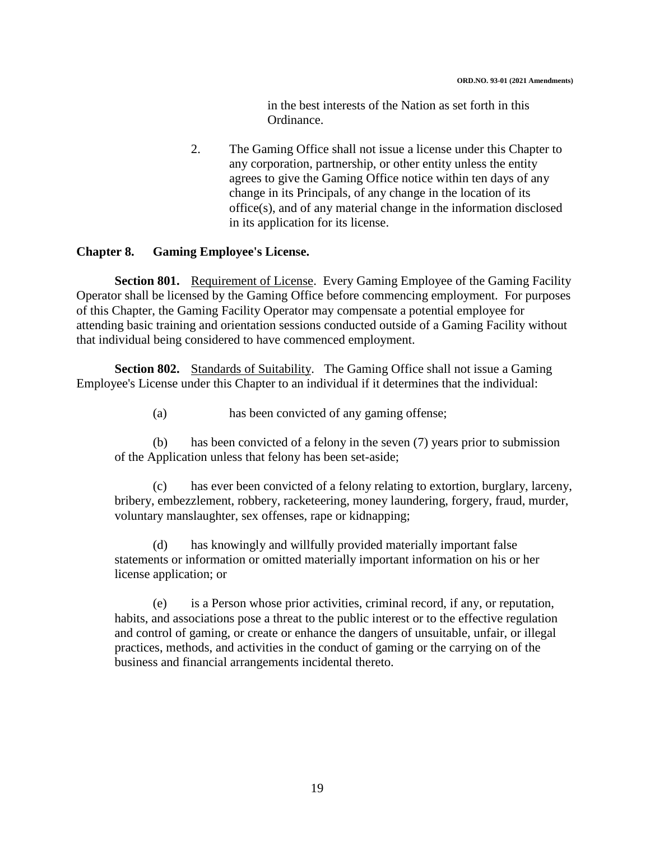in the best interests of the Nation as set forth in this Ordinance.

2. The Gaming Office shall not issue a license under this Chapter to any corporation, partnership, or other entity unless the entity agrees to give the Gaming Office notice within ten days of any change in its Principals, of any change in the location of its office(s), and of any material change in the information disclosed in its application for its license.

#### **Chapter 8. Gaming Employee's License.**

**Section 801.** Requirement of License. Every Gaming Employee of the Gaming Facility Operator shall be licensed by the Gaming Office before commencing employment. For purposes of this Chapter, the Gaming Facility Operator may compensate a potential employee for attending basic training and orientation sessions conducted outside of a Gaming Facility without that individual being considered to have commenced employment.

**Section 802.** Standards of Suitability. The Gaming Office shall not issue a Gaming Employee's License under this Chapter to an individual if it determines that the individual:

(a) has been convicted of any gaming offense;

(b) has been convicted of a felony in the seven (7) years prior to submission of the Application unless that felony has been set-aside;

(c) has ever been convicted of a felony relating to extortion, burglary, larceny, bribery, embezzlement, robbery, racketeering, money laundering, forgery, fraud, murder, voluntary manslaughter, sex offenses, rape or kidnapping;

(d) has knowingly and willfully provided materially important false statements or information or omitted materially important information on his or her license application; or

(e) is a Person whose prior activities, criminal record, if any, or reputation, habits, and associations pose a threat to the public interest or to the effective regulation and control of gaming, or create or enhance the dangers of unsuitable, unfair, or illegal practices, methods, and activities in the conduct of gaming or the carrying on of the business and financial arrangements incidental thereto.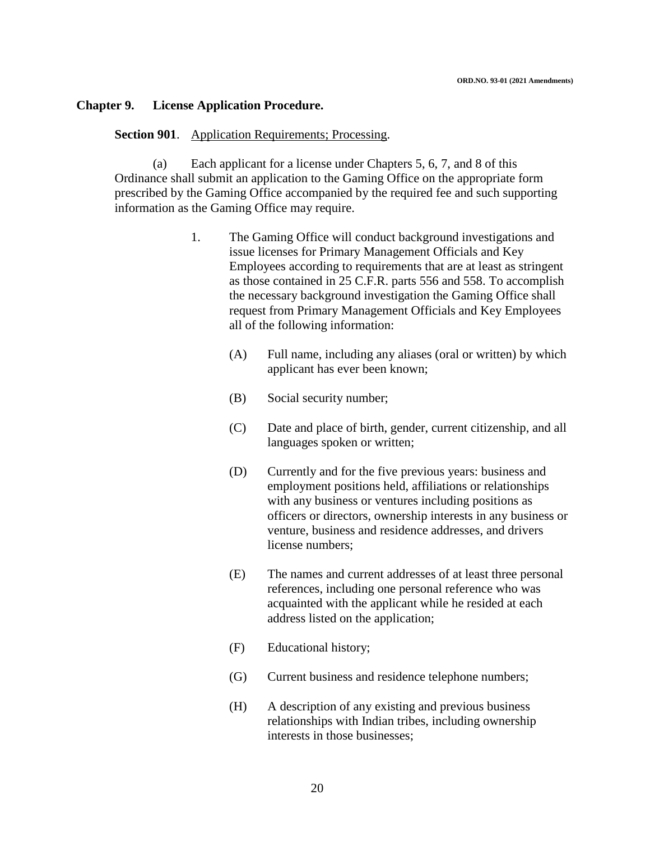#### **Chapter 9. License Application Procedure.**

#### **Section 901**. Application Requirements; Processing.

(a) Each applicant for a license under Chapters 5, 6, 7, and 8 of this Ordinance shall submit an application to the Gaming Office on the appropriate form prescribed by the Gaming Office accompanied by the required fee and such supporting information as the Gaming Office may require.

- 1. The Gaming Office will conduct background investigations and issue licenses for Primary Management Officials and Key Employees according to requirements that are at least as stringent as those contained in 25 C.F.R. parts 556 and 558. To accomplish the necessary background investigation the Gaming Office shall request from Primary Management Officials and Key Employees all of the following information:
	- (A) Full name, including any aliases (oral or written) by which applicant has ever been known;
	- (B) Social security number;
	- (C) Date and place of birth, gender, current citizenship, and all languages spoken or written;
	- (D) Currently and for the five previous years: business and employment positions held, affiliations or relationships with any business or ventures including positions as officers or directors, ownership interests in any business or venture, business and residence addresses, and drivers license numbers;
	- (E) The names and current addresses of at least three personal references, including one personal reference who was acquainted with the applicant while he resided at each address listed on the application;
	- (F) Educational history;
	- (G) Current business and residence telephone numbers;
	- (H) A description of any existing and previous business relationships with Indian tribes, including ownership interests in those businesses;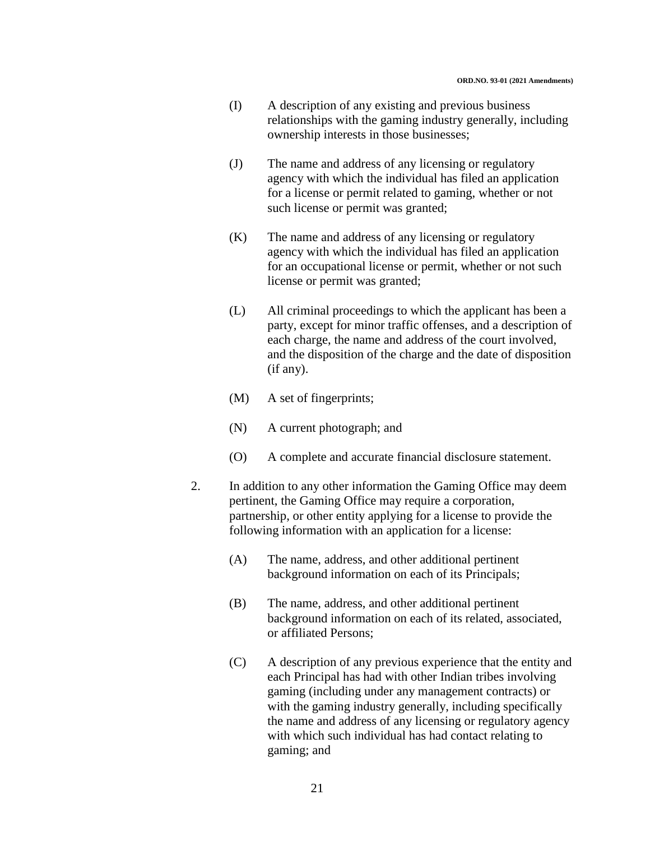- (I) A description of any existing and previous business relationships with the gaming industry generally, including ownership interests in those businesses;
- (J) The name and address of any licensing or regulatory agency with which the individual has filed an application for a license or permit related to gaming, whether or not such license or permit was granted;
- (K) The name and address of any licensing or regulatory agency with which the individual has filed an application for an occupational license or permit, whether or not such license or permit was granted;
- (L) All criminal proceedings to which the applicant has been a party, except for minor traffic offenses, and a description of each charge, the name and address of the court involved, and the disposition of the charge and the date of disposition (if any).
- (M) A set of fingerprints;
- (N) A current photograph; and
- (O) A complete and accurate financial disclosure statement.
- 2. In addition to any other information the Gaming Office may deem pertinent, the Gaming Office may require a corporation, partnership, or other entity applying for a license to provide the following information with an application for a license:
	- (A) The name, address, and other additional pertinent background information on each of its Principals;
	- (B) The name, address, and other additional pertinent background information on each of its related, associated, or affiliated Persons;
	- (C) A description of any previous experience that the entity and each Principal has had with other Indian tribes involving gaming (including under any management contracts) or with the gaming industry generally, including specifically the name and address of any licensing or regulatory agency with which such individual has had contact relating to gaming; and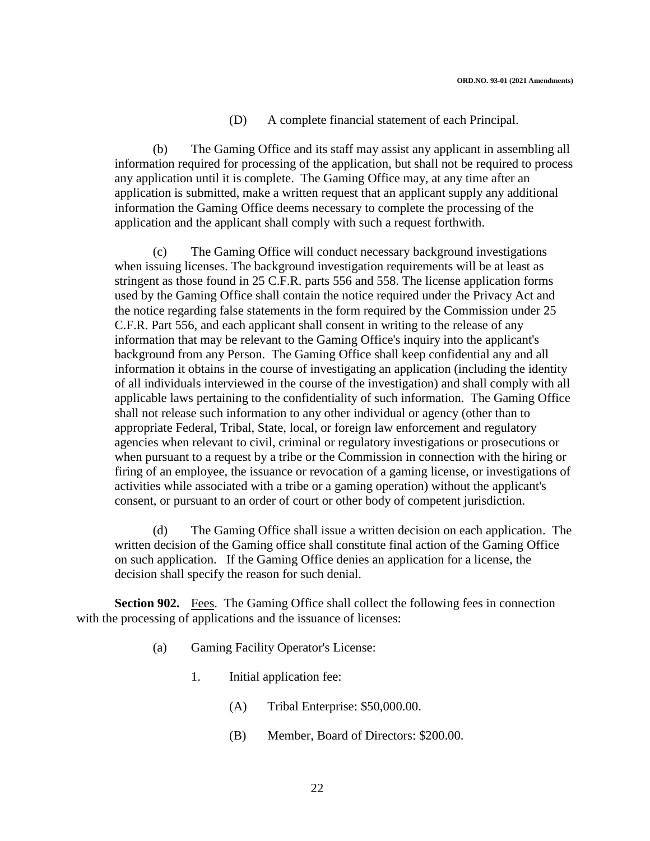#### (D) A complete financial statement of each Principal.

(b) The Gaming Office and its staff may assist any applicant in assembling all information required for processing of the application, but shall not be required to process any application until it is complete. The Gaming Office may, at any time after an application is submitted, make a written request that an applicant supply any additional information the Gaming Office deems necessary to complete the processing of the application and the applicant shall comply with such a request forthwith.

(c) The Gaming Office will conduct necessary background investigations when issuing licenses. The background investigation requirements will be at least as stringent as those found in 25 C.F.R. parts 556 and 558. The license application forms used by the Gaming Office shall contain the notice required under the Privacy Act and the notice regarding false statements in the form required by the Commission under 25 C.F.R. Part 556, and each applicant shall consent in writing to the release of any information that may be relevant to the Gaming Office's inquiry into the applicant's background from any Person. The Gaming Office shall keep confidential any and all information it obtains in the course of investigating an application (including the identity of all individuals interviewed in the course of the investigation) and shall comply with all applicable laws pertaining to the confidentiality of such information. The Gaming Office shall not release such information to any other individual or agency (other than to appropriate Federal, Tribal, State, local, or foreign law enforcement and regulatory agencies when relevant to civil, criminal or regulatory investigations or prosecutions or when pursuant to a request by a tribe or the Commission in connection with the hiring or firing of an employee, the issuance or revocation of a gaming license, or investigations of activities while associated with a tribe or a gaming operation) without the applicant's consent, or pursuant to an order of court or other body of competent jurisdiction.

(d) The Gaming Office shall issue a written decision on each application. The written decision of the Gaming office shall constitute final action of the Gaming Office on such application. If the Gaming Office denies an application for a license, the decision shall specify the reason for such denial.

**Section 902.** Fees. The Gaming Office shall collect the following fees in connection with the processing of applications and the issuance of licenses:

- (a) Gaming Facility Operator's License:
	- 1. Initial application fee:
		- (A) Tribal Enterprise: \$50,000.00.
		- (B) Member, Board of Directors: \$200.00.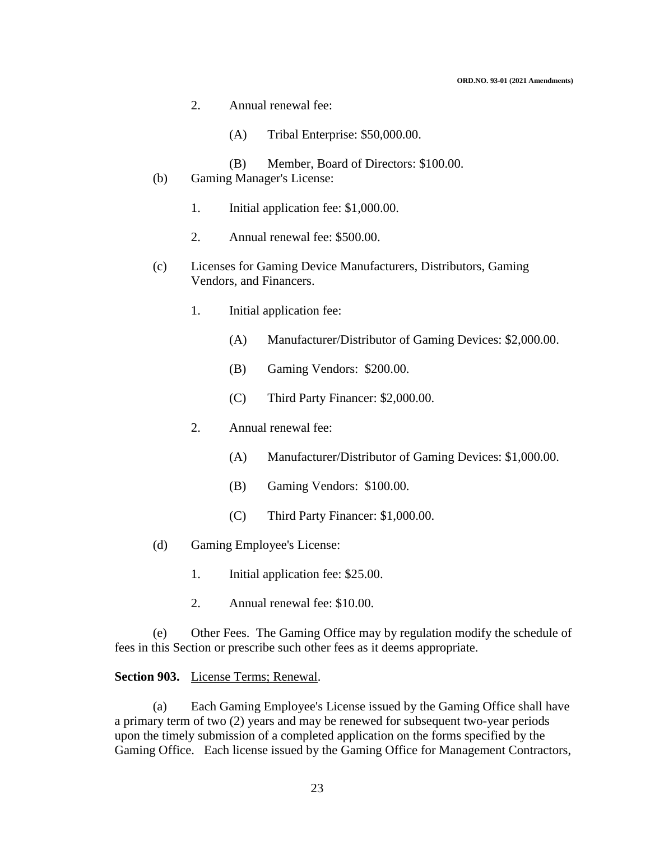- 2. Annual renewal fee:
	- (A) Tribal Enterprise: \$50,000.00.
	- (B) Member, Board of Directors: \$100.00.
- (b) Gaming Manager's License:
	- 1. Initial application fee: \$1,000.00.
	- 2. Annual renewal fee: \$500.00.
- (c) Licenses for Gaming Device Manufacturers, Distributors, Gaming Vendors, and Financers.
	- 1. Initial application fee:
		- (A) Manufacturer/Distributor of Gaming Devices: \$2,000.00.
		- (B) Gaming Vendors: \$200.00.
		- (C) Third Party Financer: \$2,000.00.
	- 2. Annual renewal fee:
		- (A) Manufacturer/Distributor of Gaming Devices: \$1,000.00.
		- (B) Gaming Vendors: \$100.00.
		- (C) Third Party Financer: \$1,000.00.
- (d) Gaming Employee's License:
	- 1. Initial application fee: \$25.00.
	- 2. Annual renewal fee: \$10.00.

(e) Other Fees. The Gaming Office may by regulation modify the schedule of fees in this Section or prescribe such other fees as it deems appropriate.

#### **Section 903.** License Terms; Renewal.

(a) Each Gaming Employee's License issued by the Gaming Office shall have a primary term of two (2) years and may be renewed for subsequent two-year periods upon the timely submission of a completed application on the forms specified by the Gaming Office. Each license issued by the Gaming Office for Management Contractors,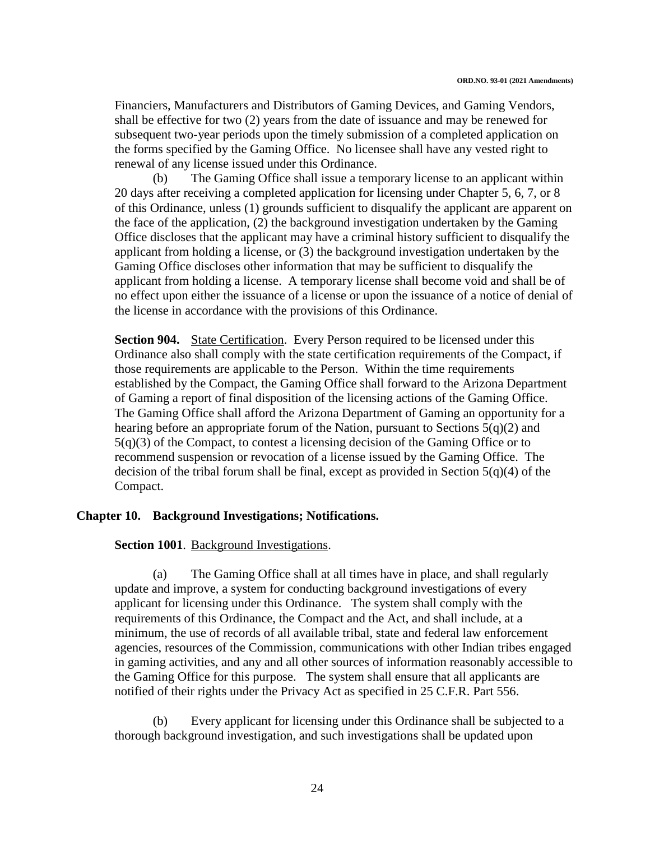Financiers, Manufacturers and Distributors of Gaming Devices, and Gaming Vendors, shall be effective for two (2) years from the date of issuance and may be renewed for subsequent two-year periods upon the timely submission of a completed application on the forms specified by the Gaming Office. No licensee shall have any vested right to renewal of any license issued under this Ordinance.

(b) The Gaming Office shall issue a temporary license to an applicant within 20 days after receiving a completed application for licensing under Chapter 5, 6, 7, or 8 of this Ordinance, unless (1) grounds sufficient to disqualify the applicant are apparent on the face of the application, (2) the background investigation undertaken by the Gaming Office discloses that the applicant may have a criminal history sufficient to disqualify the applicant from holding a license, or (3) the background investigation undertaken by the Gaming Office discloses other information that may be sufficient to disqualify the applicant from holding a license. A temporary license shall become void and shall be of no effect upon either the issuance of a license or upon the issuance of a notice of denial of the license in accordance with the provisions of this Ordinance.

**Section 904.** State Certification. Every Person required to be licensed under this Ordinance also shall comply with the state certification requirements of the Compact, if those requirements are applicable to the Person. Within the time requirements established by the Compact, the Gaming Office shall forward to the Arizona Department of Gaming a report of final disposition of the licensing actions of the Gaming Office. The Gaming Office shall afford the Arizona Department of Gaming an opportunity for a hearing before an appropriate forum of the Nation, pursuant to Sections 5(q)(2) and 5(q)(3) of the Compact, to contest a licensing decision of the Gaming Office or to recommend suspension or revocation of a license issued by the Gaming Office. The decision of the tribal forum shall be final, except as provided in Section 5(q)(4) of the Compact.

#### **Chapter 10. Background Investigations; Notifications.**

#### **Section 1001**. Background Investigations.

(a) The Gaming Office shall at all times have in place, and shall regularly update and improve, a system for conducting background investigations of every applicant for licensing under this Ordinance. The system shall comply with the requirements of this Ordinance, the Compact and the Act, and shall include, at a minimum, the use of records of all available tribal, state and federal law enforcement agencies, resources of the Commission, communications with other Indian tribes engaged in gaming activities, and any and all other sources of information reasonably accessible to the Gaming Office for this purpose. The system shall ensure that all applicants are notified of their rights under the Privacy Act as specified in 25 C.F.R. Part 556.

(b) Every applicant for licensing under this Ordinance shall be subjected to a thorough background investigation, and such investigations shall be updated upon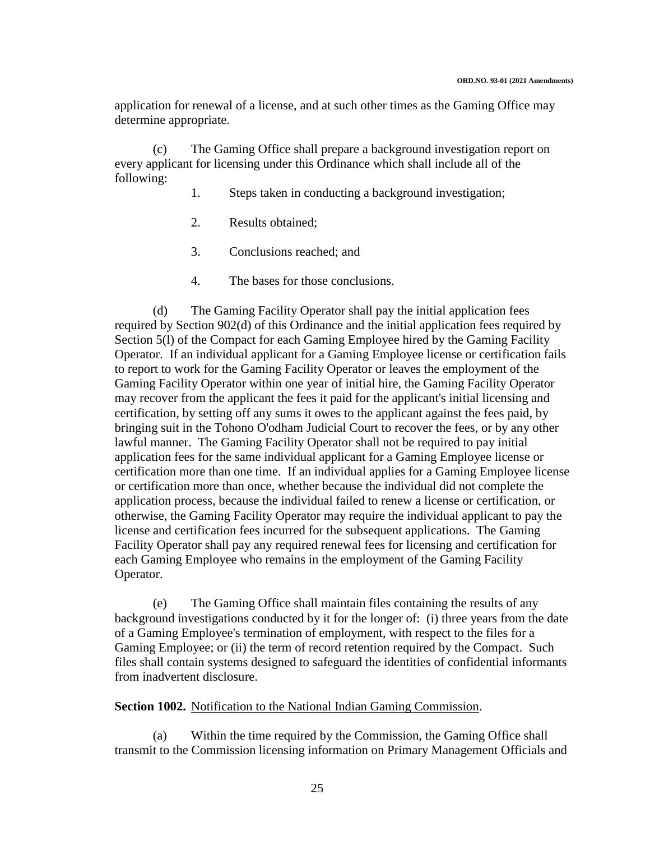application for renewal of a license, and at such other times as the Gaming Office may determine appropriate.

(c) The Gaming Office shall prepare a background investigation report on every applicant for licensing under this Ordinance which shall include all of the following:

- 1. Steps taken in conducting a background investigation;
- 2. Results obtained;
- 3. Conclusions reached; and
- 4. The bases for those conclusions.

(d) The Gaming Facility Operator shall pay the initial application fees required by Section 902(d) of this Ordinance and the initial application fees required by Section 5(l) of the Compact for each Gaming Employee hired by the Gaming Facility Operator. If an individual applicant for a Gaming Employee license or certification fails to report to work for the Gaming Facility Operator or leaves the employment of the Gaming Facility Operator within one year of initial hire, the Gaming Facility Operator may recover from the applicant the fees it paid for the applicant's initial licensing and certification, by setting off any sums it owes to the applicant against the fees paid, by bringing suit in the Tohono O'odham Judicial Court to recover the fees, or by any other lawful manner. The Gaming Facility Operator shall not be required to pay initial application fees for the same individual applicant for a Gaming Employee license or certification more than one time. If an individual applies for a Gaming Employee license or certification more than once, whether because the individual did not complete the application process, because the individual failed to renew a license or certification, or otherwise, the Gaming Facility Operator may require the individual applicant to pay the license and certification fees incurred for the subsequent applications. The Gaming Facility Operator shall pay any required renewal fees for licensing and certification for each Gaming Employee who remains in the employment of the Gaming Facility Operator.

(e) The Gaming Office shall maintain files containing the results of any background investigations conducted by it for the longer of: (i) three years from the date of a Gaming Employee's termination of employment, with respect to the files for a Gaming Employee; or (ii) the term of record retention required by the Compact. Such files shall contain systems designed to safeguard the identities of confidential informants from inadvertent disclosure.

#### **Section 1002.** Notification to the National Indian Gaming Commission.

(a) Within the time required by the Commission, the Gaming Office shall transmit to the Commission licensing information on Primary Management Officials and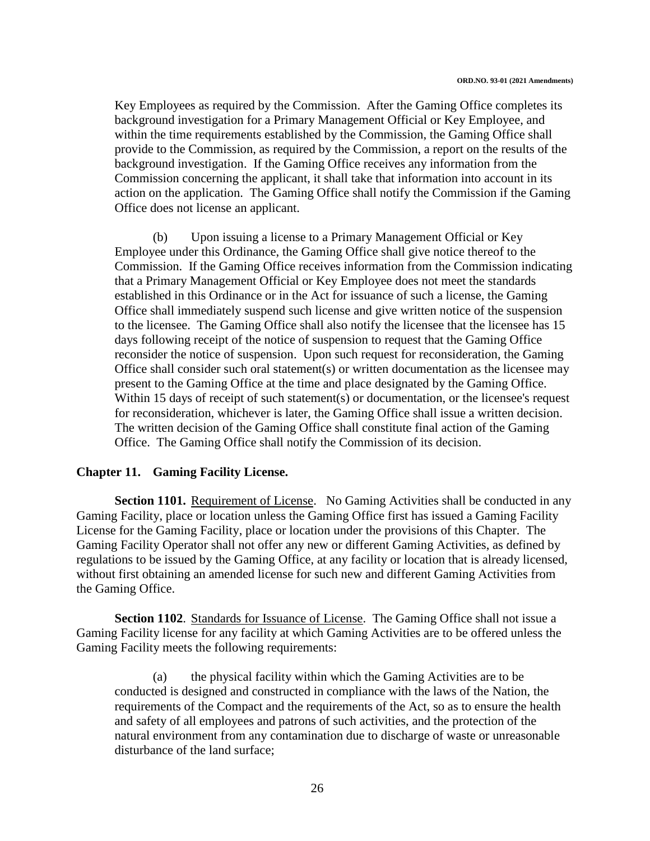Key Employees as required by the Commission. After the Gaming Office completes its background investigation for a Primary Management Official or Key Employee, and within the time requirements established by the Commission, the Gaming Office shall provide to the Commission, as required by the Commission, a report on the results of the background investigation. If the Gaming Office receives any information from the Commission concerning the applicant, it shall take that information into account in its action on the application. The Gaming Office shall notify the Commission if the Gaming Office does not license an applicant.

(b) Upon issuing a license to a Primary Management Official or Key Employee under this Ordinance, the Gaming Office shall give notice thereof to the Commission. If the Gaming Office receives information from the Commission indicating that a Primary Management Official or Key Employee does not meet the standards established in this Ordinance or in the Act for issuance of such a license, the Gaming Office shall immediately suspend such license and give written notice of the suspension to the licensee. The Gaming Office shall also notify the licensee that the licensee has 15 days following receipt of the notice of suspension to request that the Gaming Office reconsider the notice of suspension. Upon such request for reconsideration, the Gaming Office shall consider such oral statement(s) or written documentation as the licensee may present to the Gaming Office at the time and place designated by the Gaming Office. Within 15 days of receipt of such statement(s) or documentation, or the licensee's request for reconsideration, whichever is later, the Gaming Office shall issue a written decision. The written decision of the Gaming Office shall constitute final action of the Gaming Office. The Gaming Office shall notify the Commission of its decision.

#### **Chapter 11. Gaming Facility License.**

**Section 1101.** Requirement of License. No Gaming Activities shall be conducted in any Gaming Facility, place or location unless the Gaming Office first has issued a Gaming Facility License for the Gaming Facility, place or location under the provisions of this Chapter. The Gaming Facility Operator shall not offer any new or different Gaming Activities, as defined by regulations to be issued by the Gaming Office, at any facility or location that is already licensed, without first obtaining an amended license for such new and different Gaming Activities from the Gaming Office.

**Section 1102**. Standards for Issuance of License. The Gaming Office shall not issue a Gaming Facility license for any facility at which Gaming Activities are to be offered unless the Gaming Facility meets the following requirements:

(a) the physical facility within which the Gaming Activities are to be conducted is designed and constructed in compliance with the laws of the Nation, the requirements of the Compact and the requirements of the Act, so as to ensure the health and safety of all employees and patrons of such activities, and the protection of the natural environment from any contamination due to discharge of waste or unreasonable disturbance of the land surface;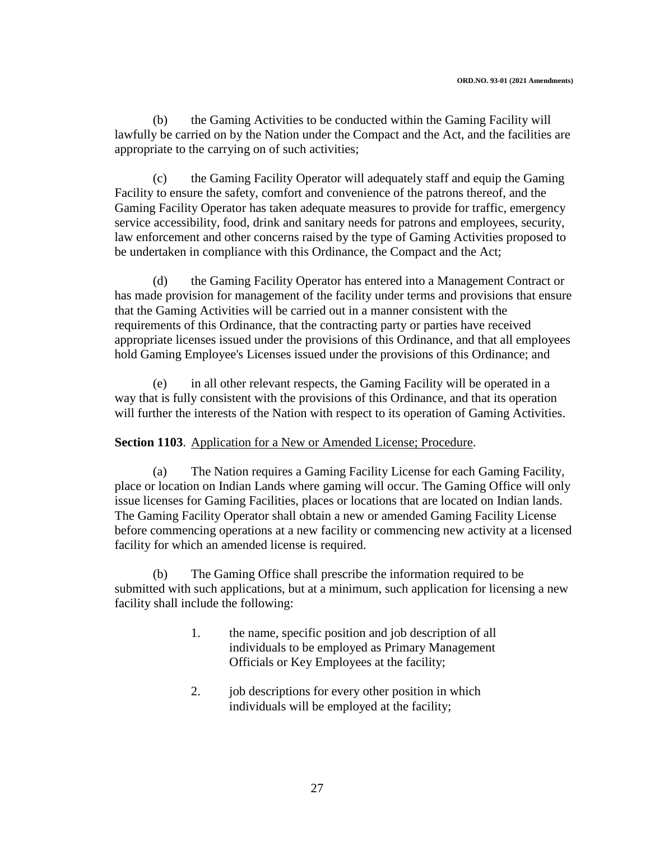(b) the Gaming Activities to be conducted within the Gaming Facility will lawfully be carried on by the Nation under the Compact and the Act, and the facilities are appropriate to the carrying on of such activities;

(c) the Gaming Facility Operator will adequately staff and equip the Gaming Facility to ensure the safety, comfort and convenience of the patrons thereof, and the Gaming Facility Operator has taken adequate measures to provide for traffic, emergency service accessibility, food, drink and sanitary needs for patrons and employees, security, law enforcement and other concerns raised by the type of Gaming Activities proposed to be undertaken in compliance with this Ordinance, the Compact and the Act;

(d) the Gaming Facility Operator has entered into a Management Contract or has made provision for management of the facility under terms and provisions that ensure that the Gaming Activities will be carried out in a manner consistent with the requirements of this Ordinance, that the contracting party or parties have received appropriate licenses issued under the provisions of this Ordinance, and that all employees hold Gaming Employee's Licenses issued under the provisions of this Ordinance; and

(e) in all other relevant respects, the Gaming Facility will be operated in a way that is fully consistent with the provisions of this Ordinance, and that its operation will further the interests of the Nation with respect to its operation of Gaming Activities.

#### **Section 1103.** Application for a New or Amended License; Procedure.

(a) The Nation requires a Gaming Facility License for each Gaming Facility, place or location on Indian Lands where gaming will occur. The Gaming Office will only issue licenses for Gaming Facilities, places or locations that are located on Indian lands. The Gaming Facility Operator shall obtain a new or amended Gaming Facility License before commencing operations at a new facility or commencing new activity at a licensed facility for which an amended license is required.

(b) The Gaming Office shall prescribe the information required to be submitted with such applications, but at a minimum, such application for licensing a new facility shall include the following:

- 1. the name, specific position and job description of all individuals to be employed as Primary Management Officials or Key Employees at the facility;
- 2. job descriptions for every other position in which individuals will be employed at the facility;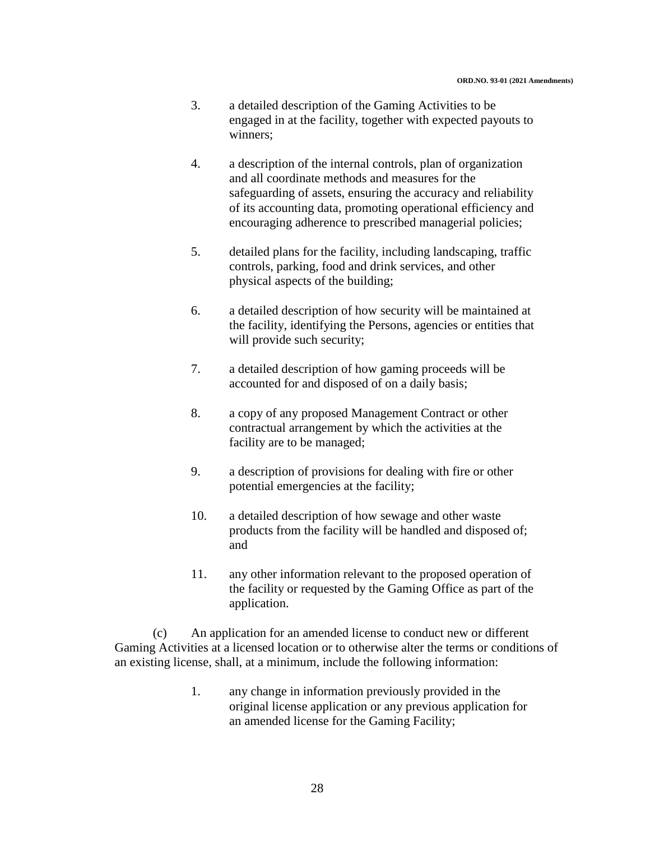- 3. a detailed description of the Gaming Activities to be engaged in at the facility, together with expected payouts to winners;
- 4. a description of the internal controls, plan of organization and all coordinate methods and measures for the safeguarding of assets, ensuring the accuracy and reliability of its accounting data, promoting operational efficiency and encouraging adherence to prescribed managerial policies;
- 5. detailed plans for the facility, including landscaping, traffic controls, parking, food and drink services, and other physical aspects of the building;
- 6. a detailed description of how security will be maintained at the facility, identifying the Persons, agencies or entities that will provide such security;
- 7. a detailed description of how gaming proceeds will be accounted for and disposed of on a daily basis;
- 8. a copy of any proposed Management Contract or other contractual arrangement by which the activities at the facility are to be managed;
- 9. a description of provisions for dealing with fire or other potential emergencies at the facility;
- 10. a detailed description of how sewage and other waste products from the facility will be handled and disposed of; and
- 11. any other information relevant to the proposed operation of the facility or requested by the Gaming Office as part of the application.

(c) An application for an amended license to conduct new or different Gaming Activities at a licensed location or to otherwise alter the terms or conditions of an existing license, shall, at a minimum, include the following information:

> 1. any change in information previously provided in the original license application or any previous application for an amended license for the Gaming Facility;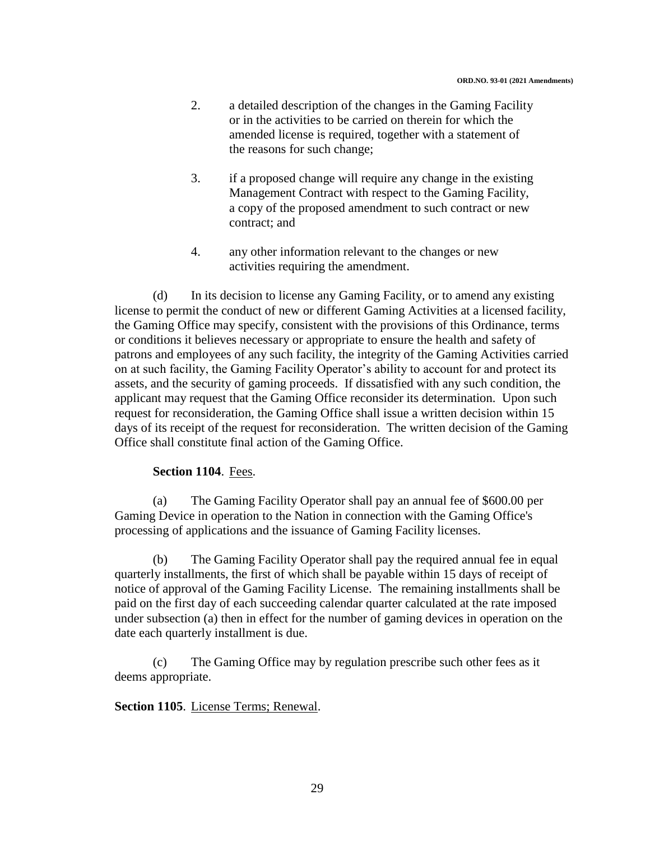- 2. a detailed description of the changes in the Gaming Facility or in the activities to be carried on therein for which the amended license is required, together with a statement of the reasons for such change;
- 3. if a proposed change will require any change in the existing Management Contract with respect to the Gaming Facility, a copy of the proposed amendment to such contract or new contract; and
- 4. any other information relevant to the changes or new activities requiring the amendment.

(d) In its decision to license any Gaming Facility, or to amend any existing license to permit the conduct of new or different Gaming Activities at a licensed facility, the Gaming Office may specify, consistent with the provisions of this Ordinance, terms or conditions it believes necessary or appropriate to ensure the health and safety of patrons and employees of any such facility, the integrity of the Gaming Activities carried on at such facility, the Gaming Facility Operator's ability to account for and protect its assets, and the security of gaming proceeds. If dissatisfied with any such condition, the applicant may request that the Gaming Office reconsider its determination. Upon such request for reconsideration, the Gaming Office shall issue a written decision within 15 days of its receipt of the request for reconsideration. The written decision of the Gaming Office shall constitute final action of the Gaming Office.

### **Section 1104**. Fees.

(a) The Gaming Facility Operator shall pay an annual fee of \$600.00 per Gaming Device in operation to the Nation in connection with the Gaming Office's processing of applications and the issuance of Gaming Facility licenses.

(b) The Gaming Facility Operator shall pay the required annual fee in equal quarterly installments, the first of which shall be payable within 15 days of receipt of notice of approval of the Gaming Facility License. The remaining installments shall be paid on the first day of each succeeding calendar quarter calculated at the rate imposed under subsection (a) then in effect for the number of gaming devices in operation on the date each quarterly installment is due.

(c) The Gaming Office may by regulation prescribe such other fees as it deems appropriate.

### **Section 1105**. License Terms; Renewal.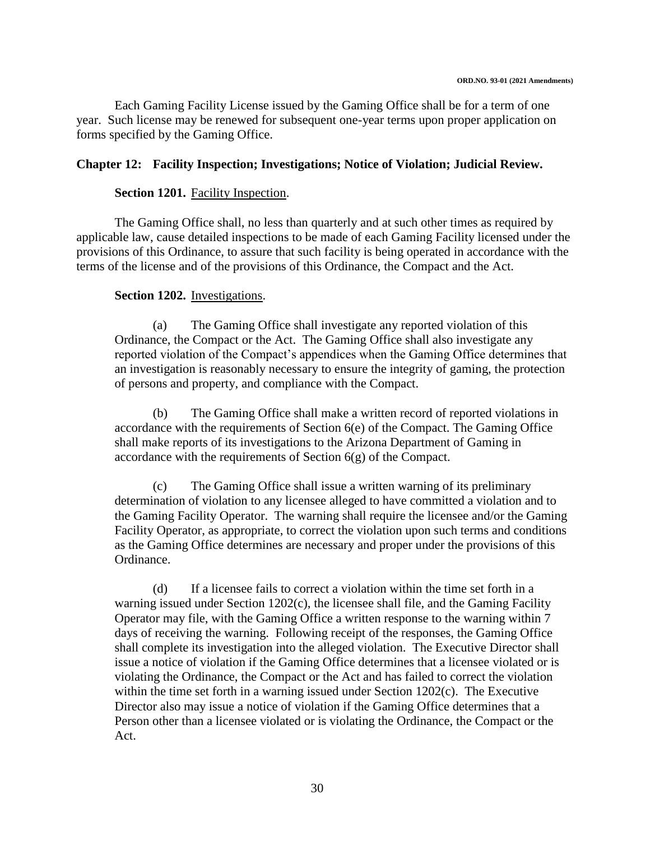Each Gaming Facility License issued by the Gaming Office shall be for a term of one year. Such license may be renewed for subsequent one-year terms upon proper application on forms specified by the Gaming Office.

### **Chapter 12: Facility Inspection; Investigations; Notice of Violation; Judicial Review.**

#### **Section 1201.** Facility Inspection.

The Gaming Office shall, no less than quarterly and at such other times as required by applicable law, cause detailed inspections to be made of each Gaming Facility licensed under the provisions of this Ordinance, to assure that such facility is being operated in accordance with the terms of the license and of the provisions of this Ordinance, the Compact and the Act.

#### **Section 1202.** Investigations.

(a) The Gaming Office shall investigate any reported violation of this Ordinance, the Compact or the Act. The Gaming Office shall also investigate any reported violation of the Compact's appendices when the Gaming Office determines that an investigation is reasonably necessary to ensure the integrity of gaming, the protection of persons and property, and compliance with the Compact.

(b) The Gaming Office shall make a written record of reported violations in accordance with the requirements of Section 6(e) of the Compact. The Gaming Office shall make reports of its investigations to the Arizona Department of Gaming in accordance with the requirements of Section 6(g) of the Compact.

(c) The Gaming Office shall issue a written warning of its preliminary determination of violation to any licensee alleged to have committed a violation and to the Gaming Facility Operator. The warning shall require the licensee and/or the Gaming Facility Operator, as appropriate, to correct the violation upon such terms and conditions as the Gaming Office determines are necessary and proper under the provisions of this Ordinance.

(d) If a licensee fails to correct a violation within the time set forth in a warning issued under Section 1202(c), the licensee shall file, and the Gaming Facility Operator may file, with the Gaming Office a written response to the warning within 7 days of receiving the warning. Following receipt of the responses, the Gaming Office shall complete its investigation into the alleged violation. The Executive Director shall issue a notice of violation if the Gaming Office determines that a licensee violated or is violating the Ordinance, the Compact or the Act and has failed to correct the violation within the time set forth in a warning issued under Section 1202(c). The Executive Director also may issue a notice of violation if the Gaming Office determines that a Person other than a licensee violated or is violating the Ordinance, the Compact or the Act.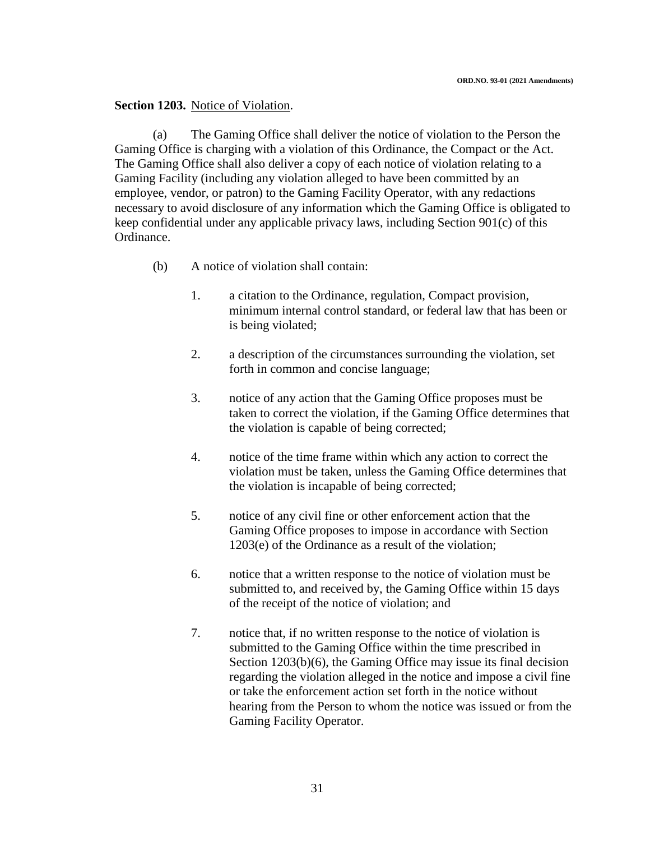#### **Section 1203.** Notice of Violation.

(a) The Gaming Office shall deliver the notice of violation to the Person the Gaming Office is charging with a violation of this Ordinance, the Compact or the Act. The Gaming Office shall also deliver a copy of each notice of violation relating to a Gaming Facility (including any violation alleged to have been committed by an employee, vendor, or patron) to the Gaming Facility Operator, with any redactions necessary to avoid disclosure of any information which the Gaming Office is obligated to keep confidential under any applicable privacy laws, including Section 901(c) of this Ordinance.

- (b) A notice of violation shall contain:
	- 1. a citation to the Ordinance, regulation, Compact provision, minimum internal control standard, or federal law that has been or is being violated;
	- 2. a description of the circumstances surrounding the violation, set forth in common and concise language;
	- 3. notice of any action that the Gaming Office proposes must be taken to correct the violation, if the Gaming Office determines that the violation is capable of being corrected;
	- 4. notice of the time frame within which any action to correct the violation must be taken, unless the Gaming Office determines that the violation is incapable of being corrected;
	- 5. notice of any civil fine or other enforcement action that the Gaming Office proposes to impose in accordance with Section 1203(e) of the Ordinance as a result of the violation;
	- 6. notice that a written response to the notice of violation must be submitted to, and received by, the Gaming Office within 15 days of the receipt of the notice of violation; and
	- 7. notice that, if no written response to the notice of violation is submitted to the Gaming Office within the time prescribed in Section 1203(b)(6), the Gaming Office may issue its final decision regarding the violation alleged in the notice and impose a civil fine or take the enforcement action set forth in the notice without hearing from the Person to whom the notice was issued or from the Gaming Facility Operator.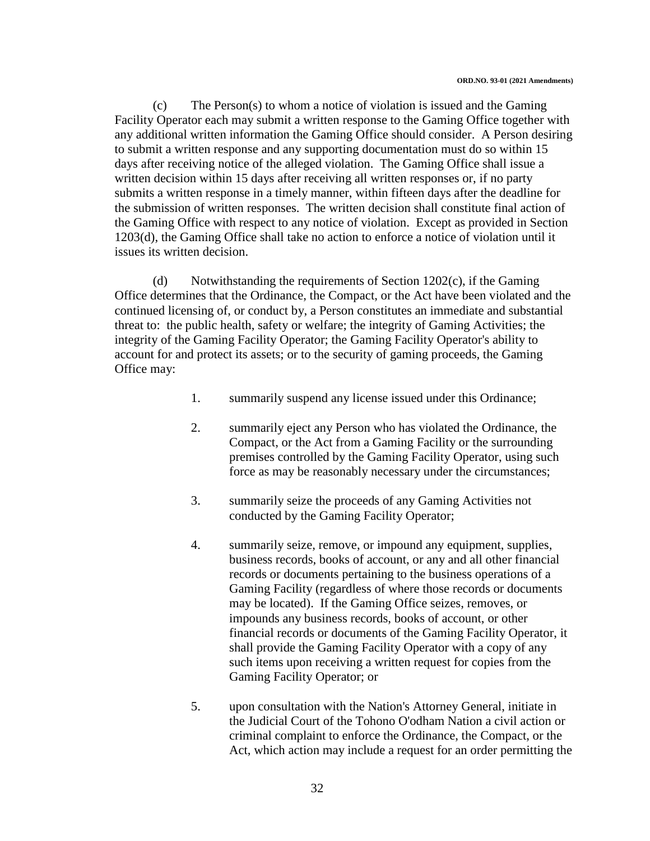(c) The Person(s) to whom a notice of violation is issued and the Gaming Facility Operator each may submit a written response to the Gaming Office together with any additional written information the Gaming Office should consider. A Person desiring to submit a written response and any supporting documentation must do so within 15 days after receiving notice of the alleged violation. The Gaming Office shall issue a written decision within 15 days after receiving all written responses or, if no party submits a written response in a timely manner, within fifteen days after the deadline for the submission of written responses. The written decision shall constitute final action of the Gaming Office with respect to any notice of violation. Except as provided in Section 1203(d), the Gaming Office shall take no action to enforce a notice of violation until it issues its written decision.

(d) Notwithstanding the requirements of Section 1202(c), if the Gaming Office determines that the Ordinance, the Compact, or the Act have been violated and the continued licensing of, or conduct by, a Person constitutes an immediate and substantial threat to: the public health, safety or welfare; the integrity of Gaming Activities; the integrity of the Gaming Facility Operator; the Gaming Facility Operator's ability to account for and protect its assets; or to the security of gaming proceeds, the Gaming Office may:

- 1. summarily suspend any license issued under this Ordinance;
- 2. summarily eject any Person who has violated the Ordinance, the Compact, or the Act from a Gaming Facility or the surrounding premises controlled by the Gaming Facility Operator, using such force as may be reasonably necessary under the circumstances;
- 3. summarily seize the proceeds of any Gaming Activities not conducted by the Gaming Facility Operator;
- 4. summarily seize, remove, or impound any equipment, supplies, business records, books of account, or any and all other financial records or documents pertaining to the business operations of a Gaming Facility (regardless of where those records or documents may be located). If the Gaming Office seizes, removes, or impounds any business records, books of account, or other financial records or documents of the Gaming Facility Operator, it shall provide the Gaming Facility Operator with a copy of any such items upon receiving a written request for copies from the Gaming Facility Operator; or
- 5. upon consultation with the Nation's Attorney General, initiate in the Judicial Court of the Tohono O'odham Nation a civil action or criminal complaint to enforce the Ordinance, the Compact, or the Act, which action may include a request for an order permitting the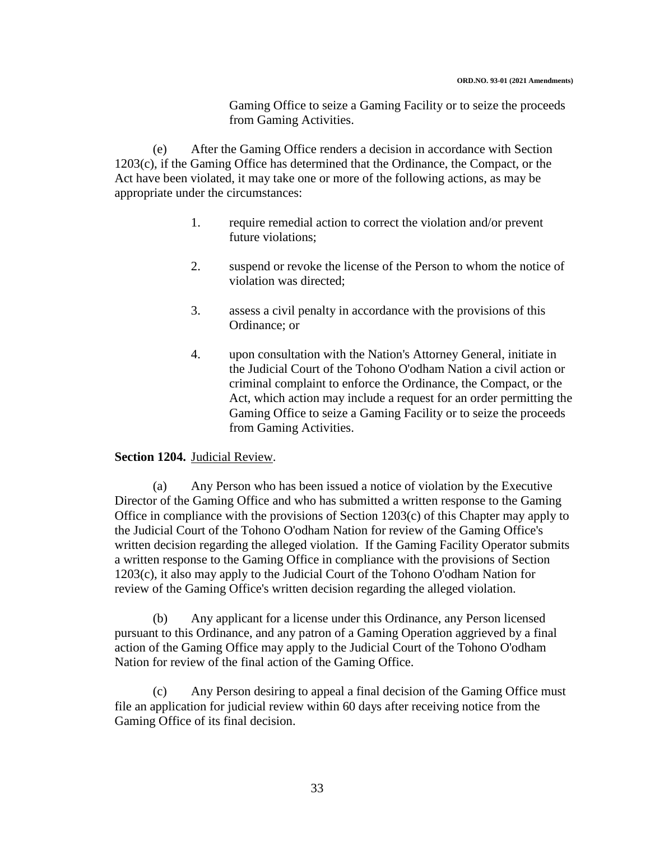Gaming Office to seize a Gaming Facility or to seize the proceeds from Gaming Activities.

(e) After the Gaming Office renders a decision in accordance with Section 1203(c), if the Gaming Office has determined that the Ordinance, the Compact, or the Act have been violated, it may take one or more of the following actions, as may be appropriate under the circumstances:

- 1. require remedial action to correct the violation and/or prevent future violations;
- 2. suspend or revoke the license of the Person to whom the notice of violation was directed;
- 3. assess a civil penalty in accordance with the provisions of this Ordinance; or
- 4. upon consultation with the Nation's Attorney General, initiate in the Judicial Court of the Tohono O'odham Nation a civil action or criminal complaint to enforce the Ordinance, the Compact, or the Act, which action may include a request for an order permitting the Gaming Office to seize a Gaming Facility or to seize the proceeds from Gaming Activities.

#### **Section 1204.** Judicial Review.

(a) Any Person who has been issued a notice of violation by the Executive Director of the Gaming Office and who has submitted a written response to the Gaming Office in compliance with the provisions of Section 1203(c) of this Chapter may apply to the Judicial Court of the Tohono O'odham Nation for review of the Gaming Office's written decision regarding the alleged violation. If the Gaming Facility Operator submits a written response to the Gaming Office in compliance with the provisions of Section 1203(c), it also may apply to the Judicial Court of the Tohono O'odham Nation for review of the Gaming Office's written decision regarding the alleged violation.

(b) Any applicant for a license under this Ordinance, any Person licensed pursuant to this Ordinance, and any patron of a Gaming Operation aggrieved by a final action of the Gaming Office may apply to the Judicial Court of the Tohono O'odham Nation for review of the final action of the Gaming Office.

Any Person desiring to appeal a final decision of the Gaming Office must file an application for judicial review within 60 days after receiving notice from the Gaming Office of its final decision.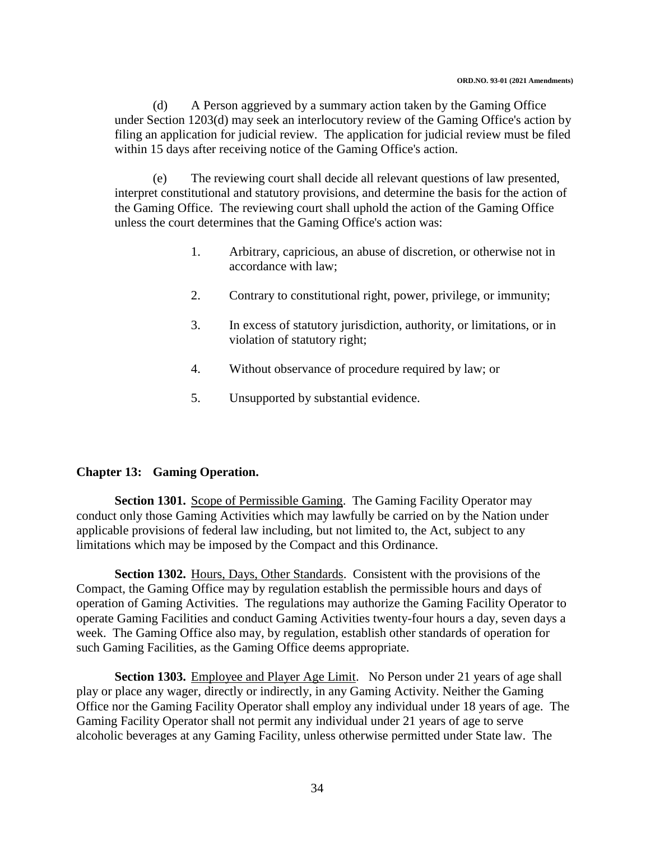(d) A Person aggrieved by a summary action taken by the Gaming Office under Section 1203(d) may seek an interlocutory review of the Gaming Office's action by filing an application for judicial review. The application for judicial review must be filed within 15 days after receiving notice of the Gaming Office's action.

(e) The reviewing court shall decide all relevant questions of law presented, interpret constitutional and statutory provisions, and determine the basis for the action of the Gaming Office. The reviewing court shall uphold the action of the Gaming Office unless the court determines that the Gaming Office's action was:

- 1. Arbitrary, capricious, an abuse of discretion, or otherwise not in accordance with law;
- 2. Contrary to constitutional right, power, privilege, or immunity;
- 3. In excess of statutory jurisdiction, authority, or limitations, or in violation of statutory right;
- 4. Without observance of procedure required by law; or
- 5. Unsupported by substantial evidence.

#### **Chapter 13: Gaming Operation.**

**Section 1301.** Scope of Permissible Gaming. The Gaming Facility Operator may conduct only those Gaming Activities which may lawfully be carried on by the Nation under applicable provisions of federal law including, but not limited to, the Act, subject to any limitations which may be imposed by the Compact and this Ordinance.

**Section 1302.** Hours, Days, Other Standards. Consistent with the provisions of the Compact, the Gaming Office may by regulation establish the permissible hours and days of operation of Gaming Activities. The regulations may authorize the Gaming Facility Operator to operate Gaming Facilities and conduct Gaming Activities twenty-four hours a day, seven days a week. The Gaming Office also may, by regulation, establish other standards of operation for such Gaming Facilities, as the Gaming Office deems appropriate.

**Section 1303.** Employee and Player Age Limit. No Person under 21 years of age shall play or place any wager, directly or indirectly, in any Gaming Activity. Neither the Gaming Office nor the Gaming Facility Operator shall employ any individual under 18 years of age. The Gaming Facility Operator shall not permit any individual under 21 years of age to serve alcoholic beverages at any Gaming Facility, unless otherwise permitted under State law. The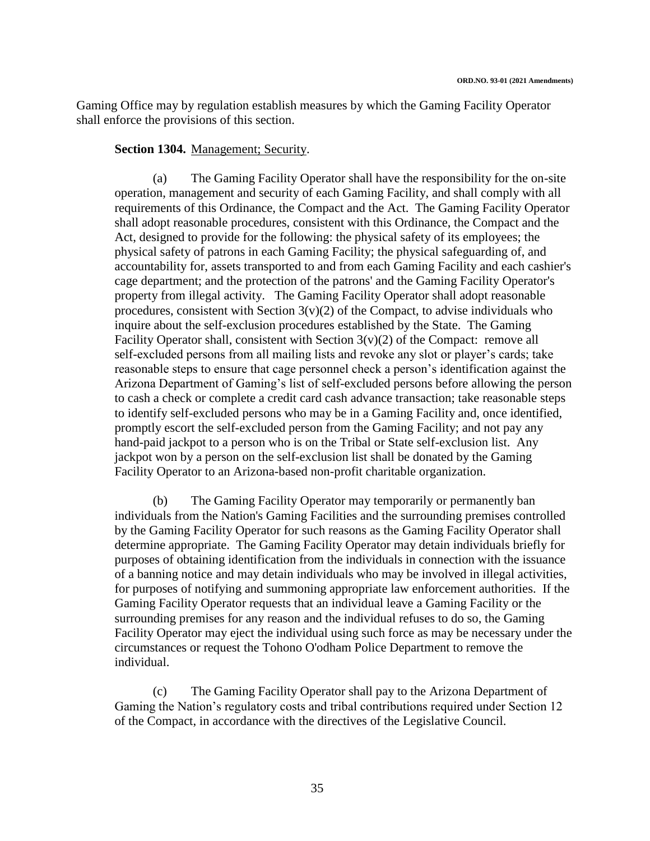Gaming Office may by regulation establish measures by which the Gaming Facility Operator shall enforce the provisions of this section.

### **Section 1304.** Management; Security.

(a) The Gaming Facility Operator shall have the responsibility for the on-site operation, management and security of each Gaming Facility, and shall comply with all requirements of this Ordinance, the Compact and the Act. The Gaming Facility Operator shall adopt reasonable procedures, consistent with this Ordinance, the Compact and the Act, designed to provide for the following: the physical safety of its employees; the physical safety of patrons in each Gaming Facility; the physical safeguarding of, and accountability for, assets transported to and from each Gaming Facility and each cashier's cage department; and the protection of the patrons' and the Gaming Facility Operator's property from illegal activity. The Gaming Facility Operator shall adopt reasonable procedures, consistent with Section  $3(v)(2)$  of the Compact, to advise individuals who inquire about the self-exclusion procedures established by the State. The Gaming Facility Operator shall, consistent with Section  $3(v)(2)$  of the Compact: remove all self-excluded persons from all mailing lists and revoke any slot or player's cards; take reasonable steps to ensure that cage personnel check a person's identification against the Arizona Department of Gaming's list of self-excluded persons before allowing the person to cash a check or complete a credit card cash advance transaction; take reasonable steps to identify self-excluded persons who may be in a Gaming Facility and, once identified, promptly escort the self-excluded person from the Gaming Facility; and not pay any hand-paid jackpot to a person who is on the Tribal or State self-exclusion list. Any jackpot won by a person on the self-exclusion list shall be donated by the Gaming Facility Operator to an Arizona-based non-profit charitable organization.

(b) The Gaming Facility Operator may temporarily or permanently ban individuals from the Nation's Gaming Facilities and the surrounding premises controlled by the Gaming Facility Operator for such reasons as the Gaming Facility Operator shall determine appropriate. The Gaming Facility Operator may detain individuals briefly for purposes of obtaining identification from the individuals in connection with the issuance of a banning notice and may detain individuals who may be involved in illegal activities, for purposes of notifying and summoning appropriate law enforcement authorities. If the Gaming Facility Operator requests that an individual leave a Gaming Facility or the surrounding premises for any reason and the individual refuses to do so, the Gaming Facility Operator may eject the individual using such force as may be necessary under the circumstances or request the Tohono O'odham Police Department to remove the individual.

(c) The Gaming Facility Operator shall pay to the Arizona Department of Gaming the Nation's regulatory costs and tribal contributions required under Section 12 of the Compact, in accordance with the directives of the Legislative Council.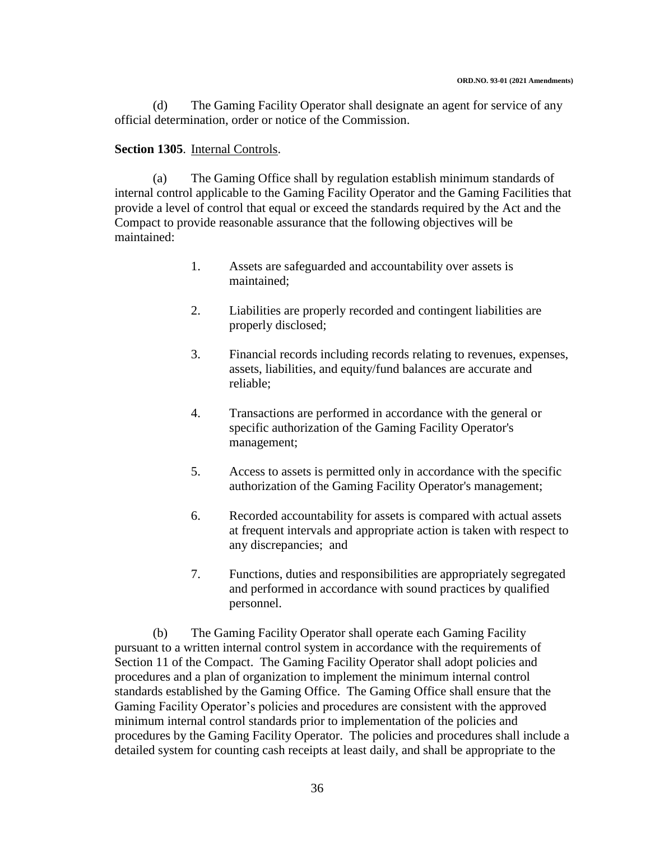(d) The Gaming Facility Operator shall designate an agent for service of any official determination, order or notice of the Commission.

#### **Section 1305**. Internal Controls.

(a) The Gaming Office shall by regulation establish minimum standards of internal control applicable to the Gaming Facility Operator and the Gaming Facilities that provide a level of control that equal or exceed the standards required by the Act and the Compact to provide reasonable assurance that the following objectives will be maintained:

- 1. Assets are safeguarded and accountability over assets is maintained;
- 2. Liabilities are properly recorded and contingent liabilities are properly disclosed;
- 3. Financial records including records relating to revenues, expenses, assets, liabilities, and equity/fund balances are accurate and reliable;
- 4. Transactions are performed in accordance with the general or specific authorization of the Gaming Facility Operator's management;
- 5. Access to assets is permitted only in accordance with the specific authorization of the Gaming Facility Operator's management;
- 6. Recorded accountability for assets is compared with actual assets at frequent intervals and appropriate action is taken with respect to any discrepancies; and
- 7. Functions, duties and responsibilities are appropriately segregated and performed in accordance with sound practices by qualified personnel.

(b) The Gaming Facility Operator shall operate each Gaming Facility pursuant to a written internal control system in accordance with the requirements of Section 11 of the Compact. The Gaming Facility Operator shall adopt policies and procedures and a plan of organization to implement the minimum internal control standards established by the Gaming Office. The Gaming Office shall ensure that the Gaming Facility Operator's policies and procedures are consistent with the approved minimum internal control standards prior to implementation of the policies and procedures by the Gaming Facility Operator. The policies and procedures shall include a detailed system for counting cash receipts at least daily, and shall be appropriate to the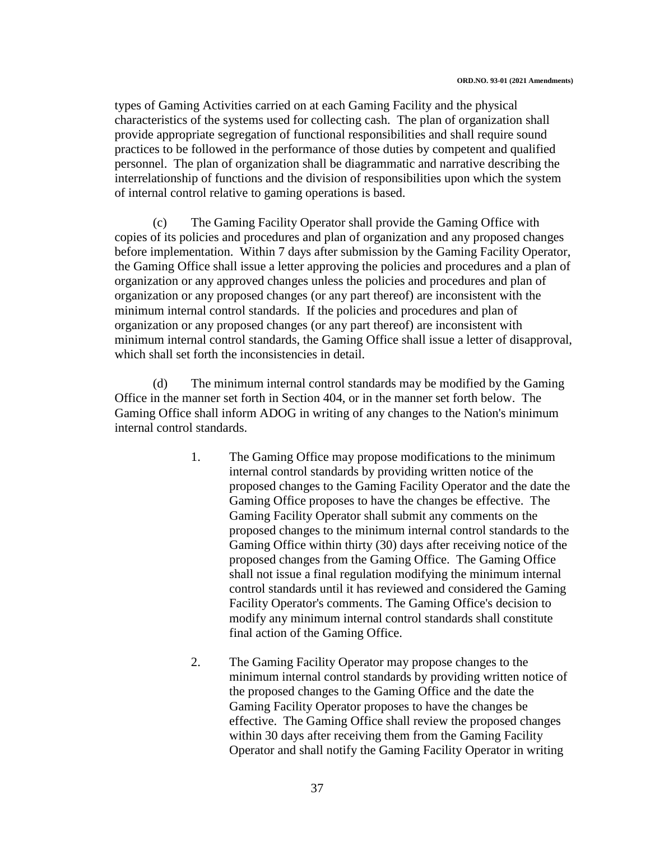types of Gaming Activities carried on at each Gaming Facility and the physical characteristics of the systems used for collecting cash. The plan of organization shall provide appropriate segregation of functional responsibilities and shall require sound practices to be followed in the performance of those duties by competent and qualified personnel. The plan of organization shall be diagrammatic and narrative describing the interrelationship of functions and the division of responsibilities upon which the system of internal control relative to gaming operations is based.

(c) The Gaming Facility Operator shall provide the Gaming Office with copies of its policies and procedures and plan of organization and any proposed changes before implementation. Within 7 days after submission by the Gaming Facility Operator, the Gaming Office shall issue a letter approving the policies and procedures and a plan of organization or any approved changes unless the policies and procedures and plan of organization or any proposed changes (or any part thereof) are inconsistent with the minimum internal control standards. If the policies and procedures and plan of organization or any proposed changes (or any part thereof) are inconsistent with minimum internal control standards, the Gaming Office shall issue a letter of disapproval, which shall set forth the inconsistencies in detail.

(d) The minimum internal control standards may be modified by the Gaming Office in the manner set forth in Section 404, or in the manner set forth below. The Gaming Office shall inform ADOG in writing of any changes to the Nation's minimum internal control standards.

- 1. The Gaming Office may propose modifications to the minimum internal control standards by providing written notice of the proposed changes to the Gaming Facility Operator and the date the Gaming Office proposes to have the changes be effective. The Gaming Facility Operator shall submit any comments on the proposed changes to the minimum internal control standards to the Gaming Office within thirty (30) days after receiving notice of the proposed changes from the Gaming Office. The Gaming Office shall not issue a final regulation modifying the minimum internal control standards until it has reviewed and considered the Gaming Facility Operator's comments. The Gaming Office's decision to modify any minimum internal control standards shall constitute final action of the Gaming Office.
- 2. The Gaming Facility Operator may propose changes to the minimum internal control standards by providing written notice of the proposed changes to the Gaming Office and the date the Gaming Facility Operator proposes to have the changes be effective. The Gaming Office shall review the proposed changes within 30 days after receiving them from the Gaming Facility Operator and shall notify the Gaming Facility Operator in writing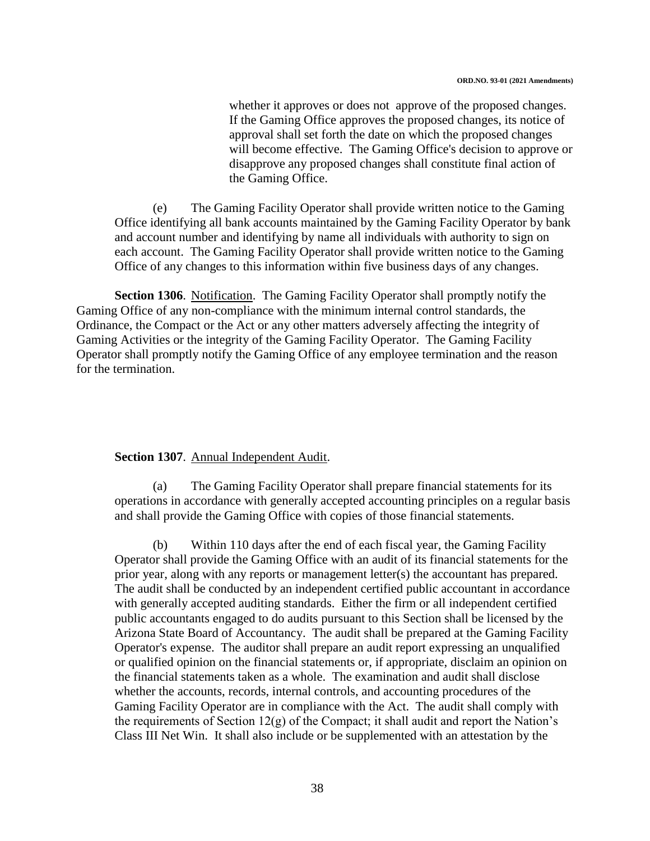whether it approves or does not approve of the proposed changes. If the Gaming Office approves the proposed changes, its notice of approval shall set forth the date on which the proposed changes will become effective. The Gaming Office's decision to approve or disapprove any proposed changes shall constitute final action of the Gaming Office.

(e) The Gaming Facility Operator shall provide written notice to the Gaming Office identifying all bank accounts maintained by the Gaming Facility Operator by bank and account number and identifying by name all individuals with authority to sign on each account. The Gaming Facility Operator shall provide written notice to the Gaming Office of any changes to this information within five business days of any changes.

**Section 1306**. Notification. The Gaming Facility Operator shall promptly notify the Gaming Office of any non-compliance with the minimum internal control standards, the Ordinance, the Compact or the Act or any other matters adversely affecting the integrity of Gaming Activities or the integrity of the Gaming Facility Operator. The Gaming Facility Operator shall promptly notify the Gaming Office of any employee termination and the reason for the termination.

#### **Section 1307**. Annual Independent Audit.

(a) The Gaming Facility Operator shall prepare financial statements for its operations in accordance with generally accepted accounting principles on a regular basis and shall provide the Gaming Office with copies of those financial statements.

(b) Within 110 days after the end of each fiscal year, the Gaming Facility Operator shall provide the Gaming Office with an audit of its financial statements for the prior year, along with any reports or management letter(s) the accountant has prepared. The audit shall be conducted by an independent certified public accountant in accordance with generally accepted auditing standards. Either the firm or all independent certified public accountants engaged to do audits pursuant to this Section shall be licensed by the Arizona State Board of Accountancy. The audit shall be prepared at the Gaming Facility Operator's expense. The auditor shall prepare an audit report expressing an unqualified or qualified opinion on the financial statements or, if appropriate, disclaim an opinion on the financial statements taken as a whole. The examination and audit shall disclose whether the accounts, records, internal controls, and accounting procedures of the Gaming Facility Operator are in compliance with the Act. The audit shall comply with the requirements of Section  $12(g)$  of the Compact; it shall audit and report the Nation's Class III Net Win. It shall also include or be supplemented with an attestation by the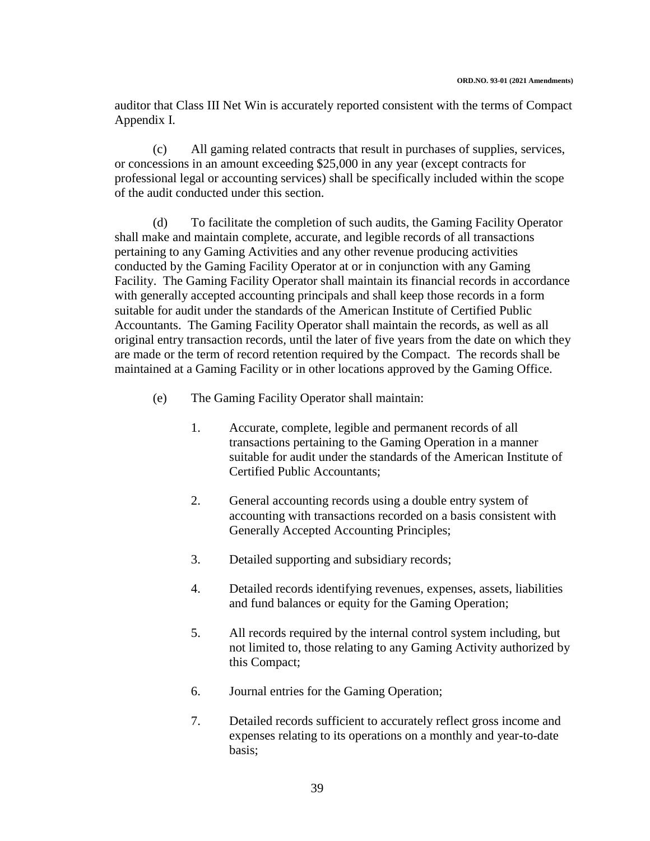auditor that Class III Net Win is accurately reported consistent with the terms of Compact Appendix I.

(c) All gaming related contracts that result in purchases of supplies, services, or concessions in an amount exceeding \$25,000 in any year (except contracts for professional legal or accounting services) shall be specifically included within the scope of the audit conducted under this section.

(d) To facilitate the completion of such audits, the Gaming Facility Operator shall make and maintain complete, accurate, and legible records of all transactions pertaining to any Gaming Activities and any other revenue producing activities conducted by the Gaming Facility Operator at or in conjunction with any Gaming Facility. The Gaming Facility Operator shall maintain its financial records in accordance with generally accepted accounting principals and shall keep those records in a form suitable for audit under the standards of the American Institute of Certified Public Accountants. The Gaming Facility Operator shall maintain the records, as well as all original entry transaction records, until the later of five years from the date on which they are made or the term of record retention required by the Compact. The records shall be maintained at a Gaming Facility or in other locations approved by the Gaming Office.

- (e) The Gaming Facility Operator shall maintain:
	- 1. Accurate, complete, legible and permanent records of all transactions pertaining to the Gaming Operation in a manner suitable for audit under the standards of the American Institute of Certified Public Accountants;
	- 2. General accounting records using a double entry system of accounting with transactions recorded on a basis consistent with Generally Accepted Accounting Principles;
	- 3. Detailed supporting and subsidiary records;
	- 4. Detailed records identifying revenues, expenses, assets, liabilities and fund balances or equity for the Gaming Operation;
	- 5. All records required by the internal control system including, but not limited to, those relating to any Gaming Activity authorized by this Compact;
	- 6. Journal entries for the Gaming Operation;
	- 7. Detailed records sufficient to accurately reflect gross income and expenses relating to its operations on a monthly and year-to-date basis;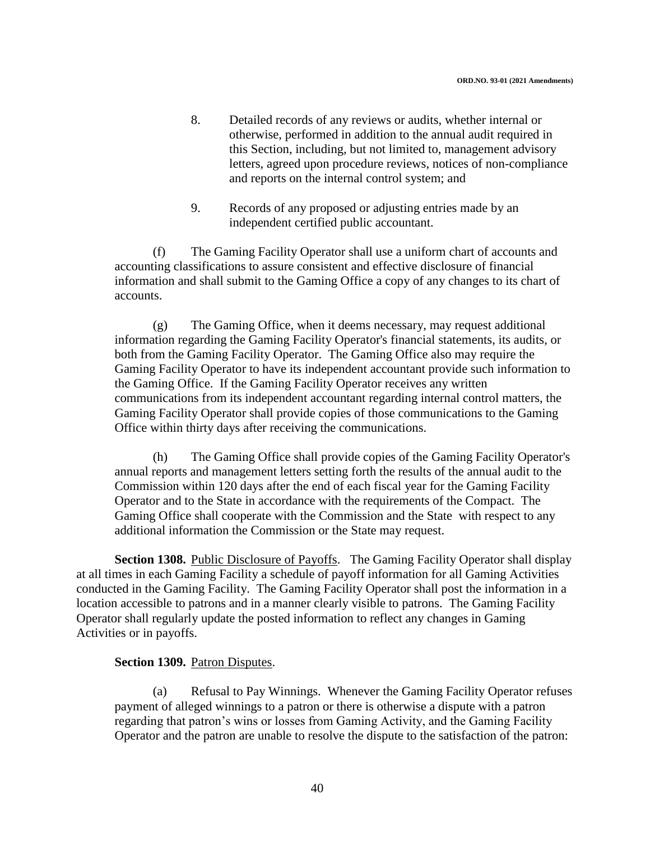- 8. Detailed records of any reviews or audits, whether internal or otherwise, performed in addition to the annual audit required in this Section, including, but not limited to, management advisory letters, agreed upon procedure reviews, notices of non-compliance and reports on the internal control system; and
- 9. Records of any proposed or adjusting entries made by an independent certified public accountant.

(f) The Gaming Facility Operator shall use a uniform chart of accounts and accounting classifications to assure consistent and effective disclosure of financial information and shall submit to the Gaming Office a copy of any changes to its chart of accounts.

(g) The Gaming Office, when it deems necessary, may request additional information regarding the Gaming Facility Operator's financial statements, its audits, or both from the Gaming Facility Operator. The Gaming Office also may require the Gaming Facility Operator to have its independent accountant provide such information to the Gaming Office. If the Gaming Facility Operator receives any written communications from its independent accountant regarding internal control matters, the Gaming Facility Operator shall provide copies of those communications to the Gaming Office within thirty days after receiving the communications.

(h) The Gaming Office shall provide copies of the Gaming Facility Operator's annual reports and management letters setting forth the results of the annual audit to the Commission within 120 days after the end of each fiscal year for the Gaming Facility Operator and to the State in accordance with the requirements of the Compact. The Gaming Office shall cooperate with the Commission and the State with respect to any additional information the Commission or the State may request.

Section 1308. Public Disclosure of Payoffs. The Gaming Facility Operator shall display at all times in each Gaming Facility a schedule of payoff information for all Gaming Activities conducted in the Gaming Facility. The Gaming Facility Operator shall post the information in a location accessible to patrons and in a manner clearly visible to patrons. The Gaming Facility Operator shall regularly update the posted information to reflect any changes in Gaming Activities or in payoffs.

#### **Section 1309.** Patron Disputes.

(a) Refusal to Pay Winnings. Whenever the Gaming Facility Operator refuses payment of alleged winnings to a patron or there is otherwise a dispute with a patron regarding that patron's wins or losses from Gaming Activity, and the Gaming Facility Operator and the patron are unable to resolve the dispute to the satisfaction of the patron: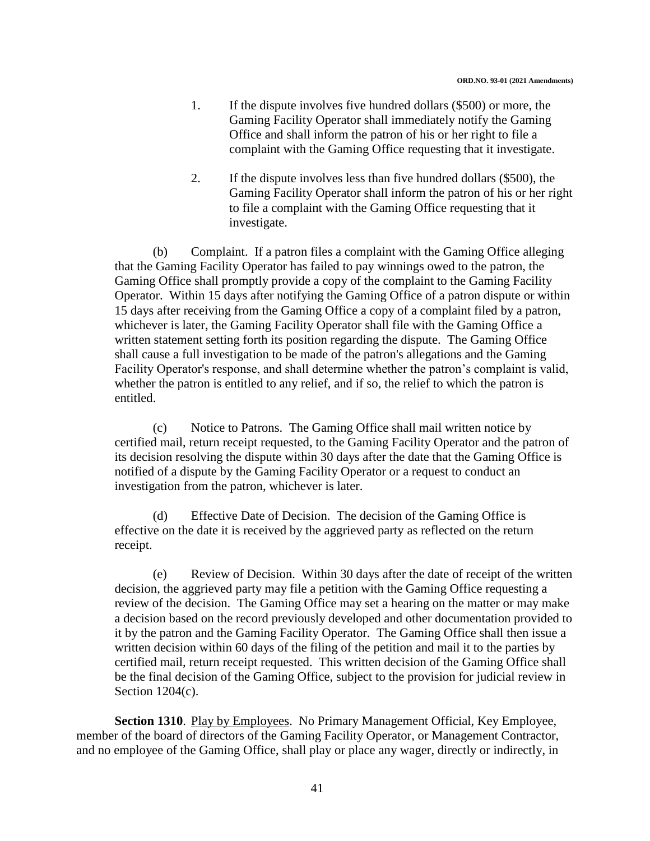- 1. If the dispute involves five hundred dollars (\$500) or more, the Gaming Facility Operator shall immediately notify the Gaming Office and shall inform the patron of his or her right to file a complaint with the Gaming Office requesting that it investigate.
- 2. If the dispute involves less than five hundred dollars (\$500), the Gaming Facility Operator shall inform the patron of his or her right to file a complaint with the Gaming Office requesting that it investigate.

(b) Complaint. If a patron files a complaint with the Gaming Office alleging that the Gaming Facility Operator has failed to pay winnings owed to the patron, the Gaming Office shall promptly provide a copy of the complaint to the Gaming Facility Operator. Within 15 days after notifying the Gaming Office of a patron dispute or within 15 days after receiving from the Gaming Office a copy of a complaint filed by a patron, whichever is later, the Gaming Facility Operator shall file with the Gaming Office a written statement setting forth its position regarding the dispute. The Gaming Office shall cause a full investigation to be made of the patron's allegations and the Gaming Facility Operator's response, and shall determine whether the patron's complaint is valid, whether the patron is entitled to any relief, and if so, the relief to which the patron is entitled.

(c) Notice to Patrons. The Gaming Office shall mail written notice by certified mail, return receipt requested, to the Gaming Facility Operator and the patron of its decision resolving the dispute within 30 days after the date that the Gaming Office is notified of a dispute by the Gaming Facility Operator or a request to conduct an investigation from the patron, whichever is later.

(d) Effective Date of Decision. The decision of the Gaming Office is effective on the date it is received by the aggrieved party as reflected on the return receipt.

(e) Review of Decision. Within 30 days after the date of receipt of the written decision, the aggrieved party may file a petition with the Gaming Office requesting a review of the decision. The Gaming Office may set a hearing on the matter or may make a decision based on the record previously developed and other documentation provided to it by the patron and the Gaming Facility Operator. The Gaming Office shall then issue a written decision within 60 days of the filing of the petition and mail it to the parties by certified mail, return receipt requested. This written decision of the Gaming Office shall be the final decision of the Gaming Office, subject to the provision for judicial review in Section 1204(c).

**Section 1310**. Play by Employees. No Primary Management Official, Key Employee, member of the board of directors of the Gaming Facility Operator, or Management Contractor, and no employee of the Gaming Office, shall play or place any wager, directly or indirectly, in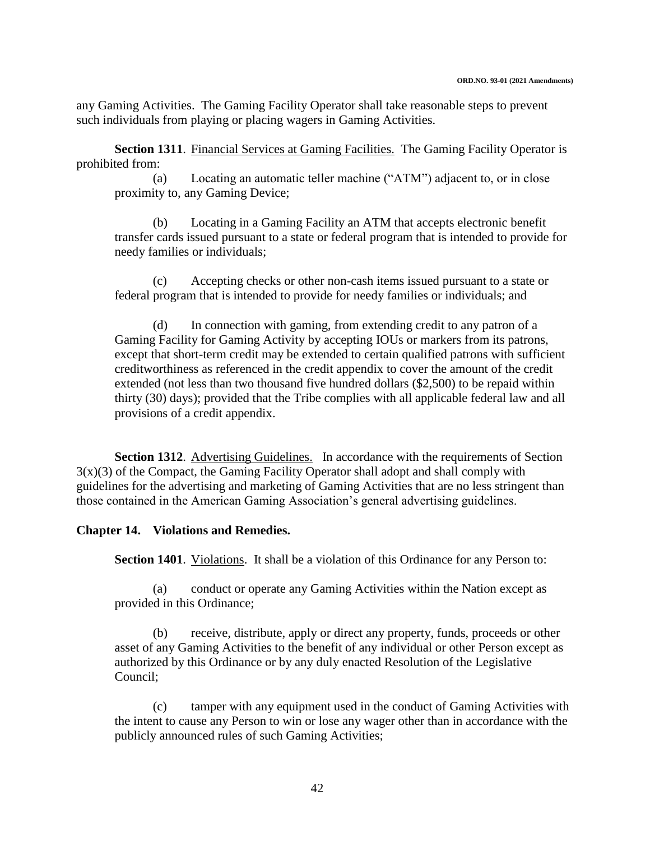any Gaming Activities. The Gaming Facility Operator shall take reasonable steps to prevent such individuals from playing or placing wagers in Gaming Activities.

**Section 1311.** Financial Services at Gaming Facilities. The Gaming Facility Operator is prohibited from:

(a) Locating an automatic teller machine ("ATM") adjacent to, or in close proximity to, any Gaming Device;

(b) Locating in a Gaming Facility an ATM that accepts electronic benefit transfer cards issued pursuant to a state or federal program that is intended to provide for needy families or individuals;

(c) Accepting checks or other non-cash items issued pursuant to a state or federal program that is intended to provide for needy families or individuals; and

(d) In connection with gaming, from extending credit to any patron of a Gaming Facility for Gaming Activity by accepting IOUs or markers from its patrons, except that short-term credit may be extended to certain qualified patrons with sufficient creditworthiness as referenced in the credit appendix to cover the amount of the credit extended (not less than two thousand five hundred dollars (\$2,500) to be repaid within thirty (30) days); provided that the Tribe complies with all applicable federal law and all provisions of a credit appendix.

**Section 1312.** Advertising Guidelines. In accordance with the requirements of Section  $3(x)(3)$  of the Compact, the Gaming Facility Operator shall adopt and shall comply with guidelines for the advertising and marketing of Gaming Activities that are no less stringent than those contained in the American Gaming Association's general advertising guidelines.

### **Chapter 14. Violations and Remedies.**

**Section 1401.** Violations. It shall be a violation of this Ordinance for any Person to:

(a) conduct or operate any Gaming Activities within the Nation except as provided in this Ordinance;

(b) receive, distribute, apply or direct any property, funds, proceeds or other asset of any Gaming Activities to the benefit of any individual or other Person except as authorized by this Ordinance or by any duly enacted Resolution of the Legislative Council;

(c) tamper with any equipment used in the conduct of Gaming Activities with the intent to cause any Person to win or lose any wager other than in accordance with the publicly announced rules of such Gaming Activities;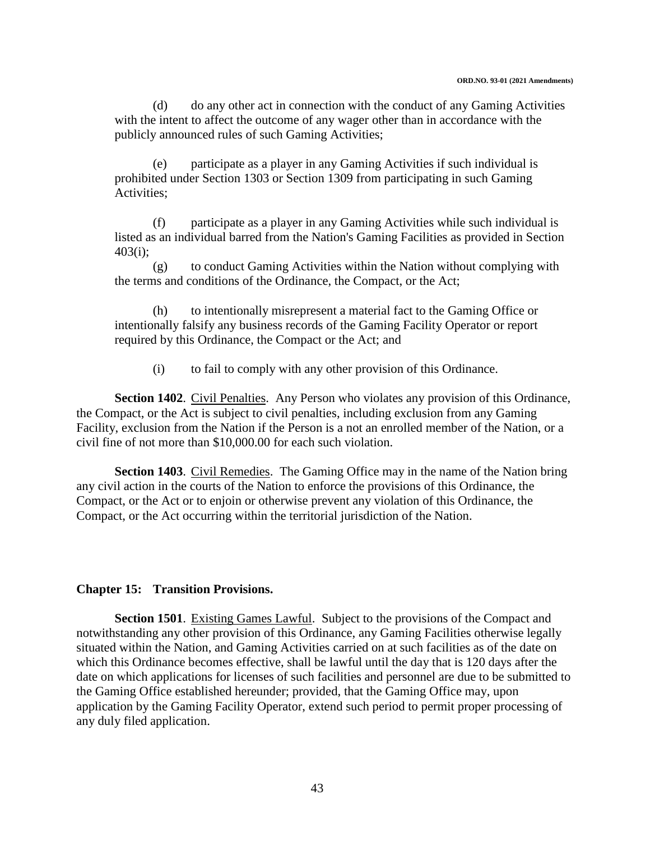(d) do any other act in connection with the conduct of any Gaming Activities with the intent to affect the outcome of any wager other than in accordance with the publicly announced rules of such Gaming Activities;

(e) participate as a player in any Gaming Activities if such individual is prohibited under Section 1303 or Section 1309 from participating in such Gaming Activities;

(f) participate as a player in any Gaming Activities while such individual is listed as an individual barred from the Nation's Gaming Facilities as provided in Section  $403(i)$ ;

(g) to conduct Gaming Activities within the Nation without complying with the terms and conditions of the Ordinance, the Compact, or the Act;

(h) to intentionally misrepresent a material fact to the Gaming Office or intentionally falsify any business records of the Gaming Facility Operator or report required by this Ordinance, the Compact or the Act; and

(i) to fail to comply with any other provision of this Ordinance.

**Section 1402**. Civil Penalties. Any Person who violates any provision of this Ordinance, the Compact, or the Act is subject to civil penalties, including exclusion from any Gaming Facility, exclusion from the Nation if the Person is a not an enrolled member of the Nation, or a civil fine of not more than \$10,000.00 for each such violation.

**Section 1403**. Civil Remedies. The Gaming Office may in the name of the Nation bring any civil action in the courts of the Nation to enforce the provisions of this Ordinance, the Compact, or the Act or to enjoin or otherwise prevent any violation of this Ordinance, the Compact, or the Act occurring within the territorial jurisdiction of the Nation.

### **Chapter 15: Transition Provisions.**

**Section 1501**. Existing Games Lawful. Subject to the provisions of the Compact and notwithstanding any other provision of this Ordinance, any Gaming Facilities otherwise legally situated within the Nation, and Gaming Activities carried on at such facilities as of the date on which this Ordinance becomes effective, shall be lawful until the day that is 120 days after the date on which applications for licenses of such facilities and personnel are due to be submitted to the Gaming Office established hereunder; provided, that the Gaming Office may, upon application by the Gaming Facility Operator, extend such period to permit proper processing of any duly filed application.